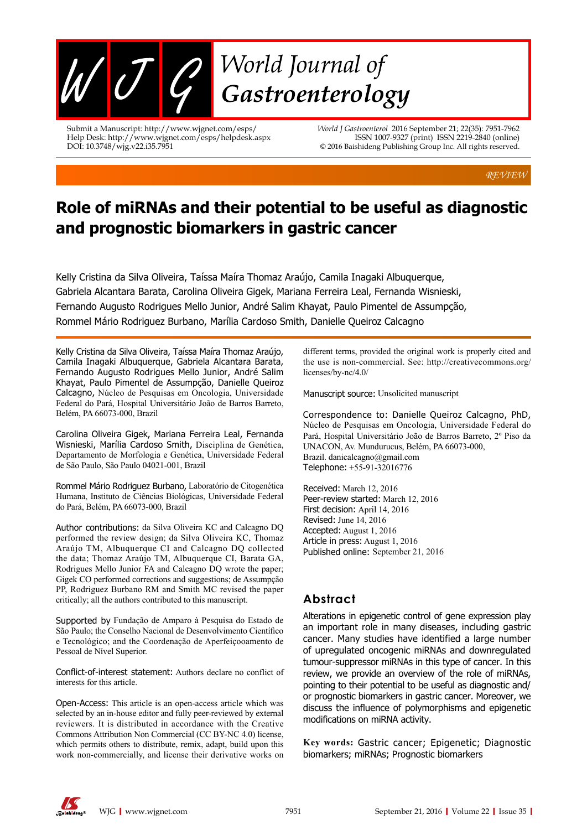

Submit a Manuscript: http://www.wjgnet.com/esps/ Help Desk: http://www.wjgnet.com/esps/helpdesk.aspx DOI: 10.3748/wjg.v22.i35.7951

*World J Gastroenterol* 2016 September 21; 22(35): 7951-7962 ISSN 1007-9327 (print) ISSN 2219-2840 (online) © 2016 Baishideng Publishing Group Inc. All rights reserved.

*REVIEW*

# **Role of miRNAs and their potential to be useful as diagnostic and prognostic biomarkers in gastric cancer**

Kelly Cristina da Silva Oliveira, Taíssa Maíra Thomaz Araújo, Camila Inagaki Albuquerque, Gabriela Alcantara Barata, Carolina Oliveira Gigek, Mariana Ferreira Leal, Fernanda Wisnieski, Fernando Augusto Rodrigues Mello Junior, André Salim Khayat, Paulo Pimentel de Assumpção, Rommel Mário Rodriguez Burbano, Marília Cardoso Smith, Danielle Queiroz Calcagno

Kelly Cristina da Silva Oliveira, Taíssa Maíra Thomaz Araújo, Camila Inagaki Albuquerque, Gabriela Alcantara Barata, Fernando Augusto Rodrigues Mello Junior, André Salim Khayat, Paulo Pimentel de Assumpção, Danielle Queiroz Calcagno, Núcleo de Pesquisas em Oncologia, Universidade Federal do Pará, Hospital Universitário João de Barros Barreto, Belém, PA 66073-000, Brazil

Carolina Oliveira Gigek, Mariana Ferreira Leal, Fernanda Wisnieski, Marília Cardoso Smith, Disciplina de Genética, Departamento de Morfologia e Genética, Universidade Federal de São Paulo, São Paulo 04021-001, Brazil

Rommel Mário Rodriguez Burbano, Laboratório de Citogenética Humana, Instituto de Ciências Biológicas, Universidade Federal do Pará, Belém, PA 66073-000, Brazil

Author contributions: da Silva Oliveira KC and Calcagno DQ performed the review design; da Silva Oliveira KC, Thomaz Araújo TM, Albuquerque CI and Calcagno DQ collected the data; Thomaz Araújo TM, Albuquerque CI, Barata GA, Rodrigues Mello Junior FA and Calcagno DQ wrote the paper; Gigek CO performed corrections and suggestions; de Assumpção PP, Rodriguez Burbano RM and Smith MC revised the paper critically; all the authors contributed to this manuscript.

Supported by Fundação de Amparo à Pesquisa do Estado de São Paulo; the Conselho Nacional de Desenvolvimento Científico e Tecnológico; and the Coordenação de Aperfeiçooamento de Pessoal de Nível Superior.

Conflict-of-interest statement: Authors declare no conflict of interests for this article.

Open-Access: This article is an open-access article which was selected by an in-house editor and fully peer-reviewed by external reviewers. It is distributed in accordance with the Creative Commons Attribution Non Commercial (CC BY-NC 4.0) license, which permits others to distribute, remix, adapt, build upon this work non-commercially, and license their derivative works on

different terms, provided the original work is properly cited and the use is non-commercial. See: http://creativecommons.org/ licenses/by-nc/4.0/

Manuscript source: Unsolicited manuscript

Correspondence to: Danielle Queiroz Calcagno, PhD, Núcleo de Pesquisas em Oncologia, Universidade Federal do Pará, Hospital Universitário João de Barros Barreto, 2º Piso da UNACON, Av. Mundurucus, Belém, PA 66073-000, Brazil. danicalcagno@gmail.com Telephone: +55-91-32016776

Received: March 12, 2016 Peer-review started: March 12, 2016 First decision: April 14, 2016 Revised: June 14, 2016 Accepted: August 1, 2016 Article in press: August 1, 2016 Published online: September 21, 2016

### **Abstract**

Alterations in epigenetic control of gene expression play an important role in many diseases, including gastric cancer. Many studies have identified a large number of upregulated oncogenic miRNAs and downregulated tumour-suppressor miRNAs in this type of cancer. In this review, we provide an overview of the role of miRNAs, pointing to their potential to be useful as diagnostic and/ or prognostic biomarkers in gastric cancer. Moreover, we discuss the influence of polymorphisms and epigenetic modifications on miRNA activity.

**Key words:** Gastric cancer; Epigenetic; Diagnostic biomarkers; miRNAs; Prognostic biomarkers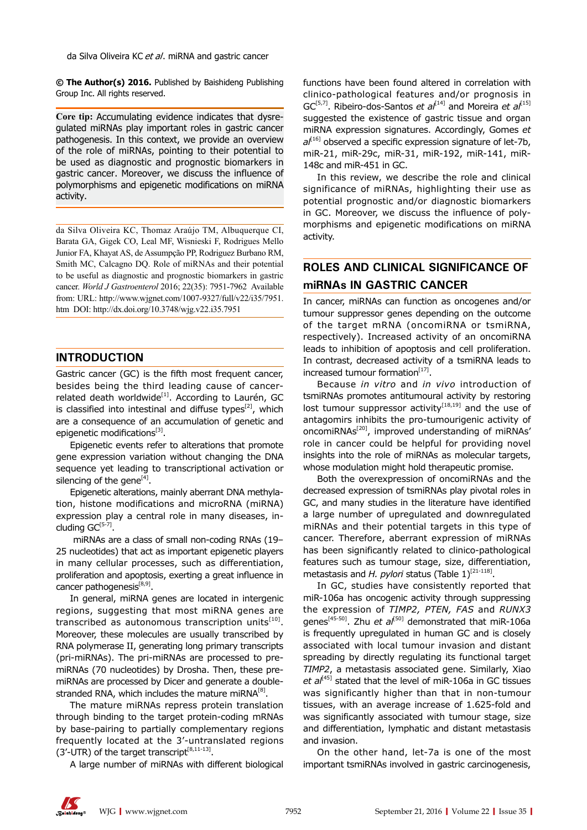da Silva Oliveira KC et al. miRNA and gastric cancer

**© The Author(s) 2016.** Published by Baishideng Publishing Group Inc. All rights reserved.

**Core tip:** Accumulating evidence indicates that dysregulated miRNAs play important roles in gastric cancer pathogenesis. In this context, we provide an overview of the role of miRNAs, pointing to their potential to be used as diagnostic and prognostic biomarkers in gastric cancer. Moreover, we discuss the influence of polymorphisms and epigenetic modifications on miRNA activity.

da Silva Oliveira KC, Thomaz Araújo TM, Albuquerque CI, Barata GA, Gigek CO, Leal MF, Wisnieski F, Rodrigues Mello Junior FA, Khayat AS, de Assumpção PP, Rodriguez Burbano RM, Smith MC, Calcagno DQ. Role of miRNAs and their potential to be useful as diagnostic and prognostic biomarkers in gastric cancer. *World J Gastroenterol* 2016; 22(35): 7951-7962 Available from: URL: http://www.wjgnet.com/1007-9327/full/v22/i35/7951. htm DOI: http://dx.doi.org/10.3748/wjg.v22.i35.7951

#### **INTRODUCTION**

Gastric cancer (GC) is the fifth most frequent cancer, besides being the third leading cause of cancerrelated death worldwide<sup>[1]</sup>. According to Laurén, GC is classified into intestinal and diffuse types<sup>[2]</sup>, which are a consequence of an accumulation of genetic and epigenetic modifications[3].

Epigenetic events refer to alterations that promote gene expression variation without changing the DNA sequence yet leading to transcriptional activation or silencing of the gene $^{[4]}$ .

Epigenetic alterations, mainly aberrant DNA methylation, histone modifications and microRNA (miRNA) expression play a central role in many diseases, including  $GC^{[5-7]}$ .

 miRNAs are a class of small non-coding RNAs (19– 25 nucleotides) that act as important epigenetic players in many cellular processes, such as differentiation, proliferation and apoptosis, exerting a great influence in cancer pathogenesis<sup>[8,9]</sup>.

In general, miRNA genes are located in intergenic regions, suggesting that most miRNA genes are transcribed as autonomous transcription units $[10]$ . Moreover, these molecules are usually transcribed by RNA polymerase II, generating long primary transcripts (pri-miRNAs). The pri-miRNAs are processed to premiRNAs (70 nucleotides) by Drosha. Then, these premiRNAs are processed by Dicer and generate a doublestranded RNA, which includes the mature miRNA $^{[8]}$ .

The mature miRNAs repress protein translation through binding to the target protein-coding mRNAs by base-pairing to partially complementary regions frequently located at the 3'-untranslated regions (3'-UTR) of the target transcript $^{[8,11-13]}$ .

A large number of miRNAs with different biological

functions have been found altered in correlation with clinico-pathological features and/or prognosis in GC<sup>[5,7]</sup>. Ribeiro-dos-Santos *et al*<sup>[14]</sup> and Moreira *et al*<sup>[15]</sup> suggested the existence of gastric tissue and organ miRNA expression signatures. Accordingly, Gomes *et al*[16] observed a specific expression signature of let-7b, miR-21, miR-29c, miR-31, miR-192, miR-141, miR-148c and miR-451 in GC.

In this review, we describe the role and clinical significance of miRNAs, highlighting their use as potential prognostic and/or diagnostic biomarkers in GC. Moreover, we discuss the influence of polymorphisms and epigenetic modifications on miRNA activity.

### **ROLES AND CLINICAL SIGNIFICANCE OF miRNAs IN GASTRIC CANCER**

In cancer, miRNAs can function as oncogenes and/or tumour suppressor genes depending on the outcome of the target mRNA (oncomiRNA or tsmiRNA, respectively). Increased activity of an oncomiRNA leads to inhibition of apoptosis and cell proliferation. In contrast, decreased activity of a tsmiRNA leads to increased tumour formation<sup>[17]</sup>.

Because *in vitro* and *in vivo* introduction of tsmiRNAs promotes antitumoural activity by restoring lost tumour suppressor activity<sup>[18,19]</sup> and the use of antagomirs inhibits the pro-tumourigenic activity of oncomiRNAs<sup>[20]</sup>, improved understanding of miRNAs' role in cancer could be helpful for providing novel insights into the role of miRNAs as molecular targets, whose modulation might hold therapeutic promise.

Both the overexpression of oncomiRNAs and the decreased expression of tsmiRNAs play pivotal roles in GC, and many studies in the literature have identified a large number of upregulated and downregulated miRNAs and their potential targets in this type of cancer. Therefore, aberrant expression of miRNAs has been significantly related to clinico-pathological features such as tumour stage, size, differentiation, metastasis and *H. pylori* status (Table 1)<sup>[21-118]</sup>.

In GC, studies have consistently reported that miR-106a has oncogenic activity through suppressing the expression of *TIMP2, PTEN, FAS* and *RUNX3* genes<sup>[45-50]</sup>. Zhu *et al*<sup>[50]</sup> demonstrated that miR-106a is frequently upregulated in human GC and is closely associated with local tumour invasion and distant spreading by directly regulating its functional target *TIMP2*, a metastasis associated gene. Similarly, Xiao *et al*[45] stated that the level of miR-106a in GC tissues was significantly higher than that in non-tumour tissues, with an average increase of 1.625-fold and was significantly associated with tumour stage, size and differentiation, lymphatic and distant metastasis and invasion.

On the other hand, let-7a is one of the most important tsmiRNAs involved in gastric carcinogenesis,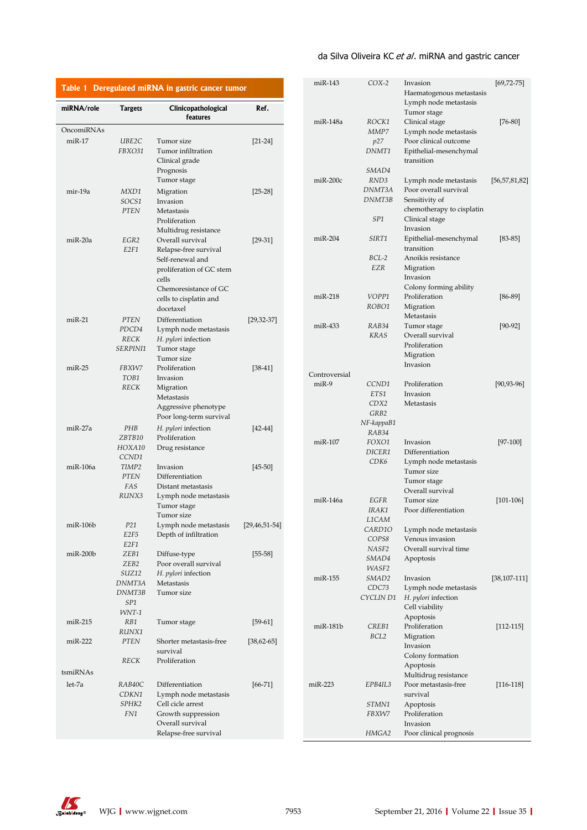### da Silva Oliveira KC et al. miRNA and gastric cancer

| Table 1 Deregulated miRNA in gastric cancer tumor |                                           |                                                                                                                             |                     | miR-143                  | $COX-2$                                      | Invasion                                                                                                      | $[69, 72 - 75]$   |
|---------------------------------------------------|-------------------------------------------|-----------------------------------------------------------------------------------------------------------------------------|---------------------|--------------------------|----------------------------------------------|---------------------------------------------------------------------------------------------------------------|-------------------|
| miRNA/role                                        | <b>Targets</b>                            | Clinicopathological<br>features                                                                                             | Ref.                |                          |                                              | Haematogenous metastasis<br>Lymph node metastasis<br>Tumor stage                                              |                   |
| OncomiRNAs                                        |                                           |                                                                                                                             |                     | miR-148a                 | ROCK1<br>MMP7                                | Clinical stage<br>Lymph node metastasis                                                                       | $[76-80]$         |
| $miR-17$                                          | UBE2C<br>FBXO31                           | Tumor size<br>Tumor infiltration<br>Clinical grade                                                                          | $[21-24]$           |                          | p27<br>DNMT1                                 | Poor clinical outcome<br>Epithelial-mesenchymal<br>transition                                                 |                   |
|                                                   |                                           | Prognosis<br>Tumor stage                                                                                                    |                     | $miR-200c$               | SMAD4<br>RND3<br>DNMT3A                      | Lymph node metastasis<br>Poor overall survival                                                                | [56, 57, 81, 82]  |
| mir-19a                                           | MXD1<br>SOCS1<br><b>PTEN</b>              | Migration<br>Invasion<br>Metastasis<br>Proliferation<br>Multidrug resistance                                                | $[25-28]$           |                          | DNMT3B<br>SP1                                | Sensitivity of<br>chemotherapy to cisplatin<br>Clinical stage<br>Invasion                                     |                   |
| miR-20a                                           | EGR2<br>E <sub>2F1</sub>                  | Overall survival<br>Relapse-free survival<br>Self-renewal and<br>proliferation of GC stem<br>cells<br>Chemoresistance of GC | $[29-31]$           | $miR-204$                | SIRT1<br>$BCL-2$<br>EZR                      | Epithelial-mesenchymal<br>transition<br>Anoikis resistance<br>Migration<br>Invasion<br>Colony forming ability | $[83 - 85]$       |
|                                                   |                                           | cells to cisplatin and<br>docetaxel                                                                                         |                     | $miR-218$                | VOPP1<br>ROBO1                               | Proliferation<br>Migration<br>Metastasis                                                                      | $[86-89]$         |
| $miR-21$                                          | <b>PTEN</b><br>PDCD4<br>RECK<br>SERPINI1  | Differentiation<br>Lymph node metastasis<br>H. <i>pylori</i> infection<br>Tumor stage<br>Tumor size                         | $[29, 32 - 37]$     | miR-433                  | RAB34<br><b>KRAS</b>                         | Tumor stage<br>Overall survival<br>Proliferation<br>Migration                                                 | $[90-92]$         |
| $miR-25$                                          | FBXW7<br>TOB1<br><b>RECK</b>              | Proliferation<br>Invasion<br>Migration<br>Metastasis<br>Aggressive phenotype<br>Poor long-term survival                     | $[38-41]$           | Controversial<br>$miR-9$ | CCND1<br>ETS1<br>CDX2<br>GRB2                | Invasion<br>Proliferation<br>Invasion<br>Metastasis                                                           | $[90, 93 - 96]$   |
| miR-27a                                           | PHB<br>ZBTB10<br>HOXA10<br>CCND1          | H. pylori infection<br>Proliferation<br>Drug resistance                                                                     | $[42-44]$           | $miR-107$                | $NF$ -kappa $B1$<br>RAB34<br>FOXO1<br>DICER1 | Invasion<br>Differentiation                                                                                   | $[97-100]$        |
| miR-106a                                          | TIMP2<br><b>PTEN</b><br>FAS<br>RUNX3      | Invasion<br>Differentiation<br>Distant metastasis<br>Lymph node metastasis                                                  | $[45 - 50]$         |                          | CD <sub>K6</sub>                             | Lymph node metastasis<br>Tumor size<br>Tumor stage<br>Overall survival                                        |                   |
| miR-106b                                          | P21<br>E2F5                               | Tumor stage<br>Tumor size<br>Lymph node metastasis<br>Depth of infiltration                                                 | $[29, 46, 51 - 54]$ | $miR-146a$               | EGFR<br>IRAK1<br>L1CAM<br>CARD10<br>COPS8    | Tumor size<br>Poor differentiation<br>Lymph node metastasis<br>Venous invasion                                | $[101 - 106]$     |
| $miR-200b$                                        | E2F1<br>ZEB1<br>ZEB <sub>2</sub><br>SUZ12 | Diffuse-type<br>Poor overall survival<br>H. <i>pylori</i> infection                                                         | $[55 - 58]$         |                          | NASF2<br>SMAD4<br>WASF2                      | Overall survival time<br>Apoptosis                                                                            |                   |
|                                                   | DNMT3A<br>DNMT3B<br>SP1<br>WNT-1          | Metastasis<br>Tumor size                                                                                                    |                     | miR-155                  | SMAD <sub>2</sub><br>CDC73<br>CYCLIN D1      | Invasion<br>Lymph node metastasis<br>H. <i>pylori</i> infection<br>Cell viability<br>Apoptosis                | $[38, 107 - 111]$ |
| $miR-215$                                         | RB1<br>RUNX1                              | Tumor stage                                                                                                                 | $[59-61]$           | miR-181b                 | CREB1<br>BCL2                                | Proliferation<br>Migration                                                                                    | $[112-115]$       |
| $miR-222$                                         | <b>PTEN</b><br>RECK                       | Shorter metastasis-free<br>survival<br>Proliferation                                                                        | $[38, 62 - 65]$     |                          |                                              | Invasion<br>Colony formation<br>Apoptosis                                                                     |                   |
| tsmiRNAs                                          |                                           |                                                                                                                             |                     |                          |                                              | Multidrug resistance                                                                                          |                   |
| let-7a                                            | RAB40C<br>CDKN1<br>SPHK2<br>FN1           | Differentiation<br>Lymph node metastasis<br>Cell cicle arrest<br>Growth suppression                                         | $[66 - 71]$         | $miR-223$                | EPB4IL3<br>STMN1<br>FBXW7                    | Poor metastasis-free<br>survival<br>Apoptosis<br>Proliferation                                                | $[116-118]$       |
|                                                   |                                           | Overall survival<br>Relapse-free survival                                                                                   |                     |                          | HMGA2                                        | Invasion<br>Poor clinical prognosis                                                                           |                   |

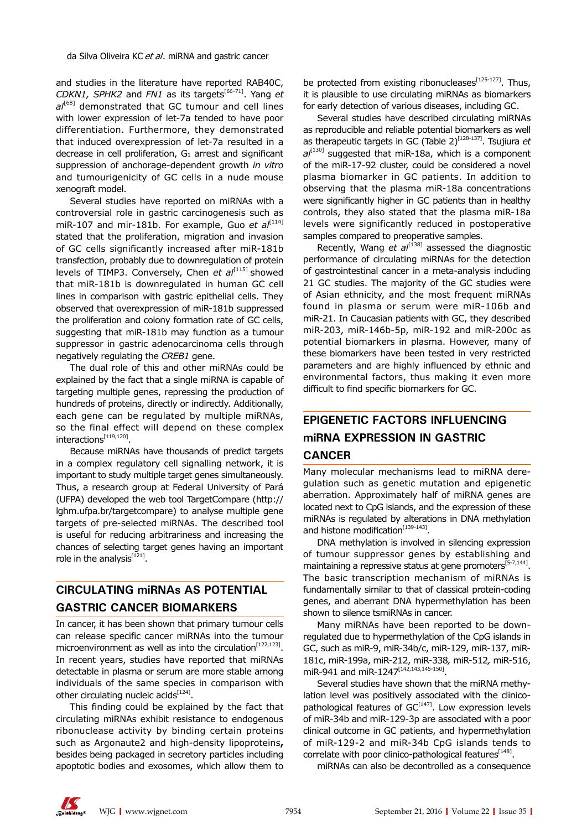and studies in the literature have reported RAB40C, *CDKN1, SPHK2* and *FN1* as its targets[66-71]. Yang *et*   $a^{[68]}$  demonstrated that GC tumour and cell lines with lower expression of let-7a tended to have poor differentiation. Furthermore, they demonstrated that induced overexpression of let-7a resulted in a decrease in cell proliferation, G1 arrest and significant suppression of anchorage-dependent growth *in vitro* and tumourigenicity of GC cells in a nude mouse xenograft model.

Several studies have reported on miRNAs with a controversial role in gastric carcinogenesis such as miR-107 and mir-181b. For example, Guo et al<sup>[114]</sup> stated that the proliferation, migration and invasion of GC cells significantly increased after miR-181b transfection, probably due to downregulation of protein levels of TIMP3. Conversely, Chen *et al*<sup>[115]</sup> showed that miR-181b is downregulated in human GC cell lines in comparison with gastric epithelial cells. They observed that overexpression of miR-181b suppressed the proliferation and colony formation rate of GC cells, suggesting that miR-181b may function as a tumour suppressor in gastric adenocarcinoma cells through negatively regulating the *CREB1* gene.

The dual role of this and other miRNAs could be explained by the fact that a single miRNA is capable of targeting multiple genes, repressing the production of hundreds of proteins, directly or indirectly. Additionally, each gene can be regulated by multiple miRNAs, so the final effect will depend on these complex  $interactions<sup>[119,120]</sup>$ .

Because miRNAs have thousands of predict targets in a complex regulatory cell signalling network, it is important to study multiple target genes simultaneously. Thus, a research group at Federal University of Pará (UFPA) developed the web tool TargetCompare (http:// lghm.ufpa.br/targetcompare) to analyse multiple gene targets of pre-selected miRNAs. The described tool is useful for reducing arbitrariness and increasing the chances of selecting target genes having an important role in the analysis<sup>[121]</sup>.

### **CIRCULATING miRNAs AS POTENTIAL GASTRIC CANCER BIOMARKERS**

In cancer, it has been shown that primary tumour cells can release specific cancer miRNAs into the tumour microenvironment as well as into the circulation $[122, 123]$ . In recent years, studies have reported that miRNAs detectable in plasma or serum are more stable among individuals of the same species in comparison with other circulating nucleic acids $^{[124]}$ .

This finding could be explained by the fact that circulating miRNAs exhibit resistance to endogenous ribonuclease activity by binding certain proteins such as Argonaute2 and high-density lipoproteins**,** besides being packaged in secretory particles including apoptotic bodies and exosomes, which allow them to

be protected from existing ribonucleases<sup>[125-127]</sup>. Thus, it is plausible to use circulating miRNAs as biomarkers for early detection of various diseases, including GC.

Several studies have described circulating miRNAs as reproducible and reliable potential biomarkers as well as therapeutic targets in GC (Table 2)<sup>[128-137]</sup>. Tsujiura *et* al<sup>[130]</sup> suggested that miR-18a, which is a component of the miR-17-92 cluster, could be considered a novel plasma biomarker in GC patients. In addition to observing that the plasma miR-18a concentrations were significantly higher in GC patients than in healthy controls, they also stated that the plasma miR-18a levels were significantly reduced in postoperative samples compared to preoperative samples.

Recently, Wang *et al*<sup>[138]</sup> assessed the diagnostic performance of circulating miRNAs for the detection of gastrointestinal cancer in a meta-analysis including 21 GC studies. The majority of the GC studies were of Asian ethnicity, and the most frequent miRNAs found in plasma or serum were miR-106b and miR-21. In Caucasian patients with GC, they described miR-203, miR-146b-5p, miR-192 and miR-200c as potential biomarkers in plasma. However, many of these biomarkers have been tested in very restricted parameters and are highly influenced by ethnic and environmental factors, thus making it even more difficult to find specific biomarkers for GC.

# **EPIGENETIC FACTORS INFLUENCING miRNA EXPRESSION IN GASTRIC**

#### **CANCER**

Many molecular mechanisms lead to miRNA deregulation such as genetic mutation and epigenetic aberration. Approximately half of miRNA genes are located next to CpG islands, and the expression of these miRNAs is regulated by alterations in DNA methylation and histone modification $[139-143]$ .

DNA methylation is involved in silencing expression of tumour suppressor genes by establishing and maintaining a repressive status at gene promoters $[5\text{-}7,144]$ . The basic transcription mechanism of miRNAs is fundamentally similar to that of classical protein-coding genes, and aberrant DNA hypermethylation has been shown to silence tsmiRNAs in cancer.

Many miRNAs have been reported to be downregulated due to hypermethylation of the CpG islands in GC, such as miR-9, miR-34b/c, miR-129, miR-137, miR-181c, miR-199a, miR-212, miR-338*,* miR-512*,* miR-516, miR-941 and miR-1247[142,143,145-150].

Several studies have shown that the miRNA methylation level was positively associated with the clinicopathological features of  $GC^{[147]}$ . Low expression levels of miR-34b and miR-129-3p are associated with a poor clinical outcome in GC patients, and hypermethylation of miR-129-2 and miR-34b CpG islands tends to correlate with poor clinico-pathological features<sup>[148]</sup>.

miRNAs can also be decontrolled as a consequence

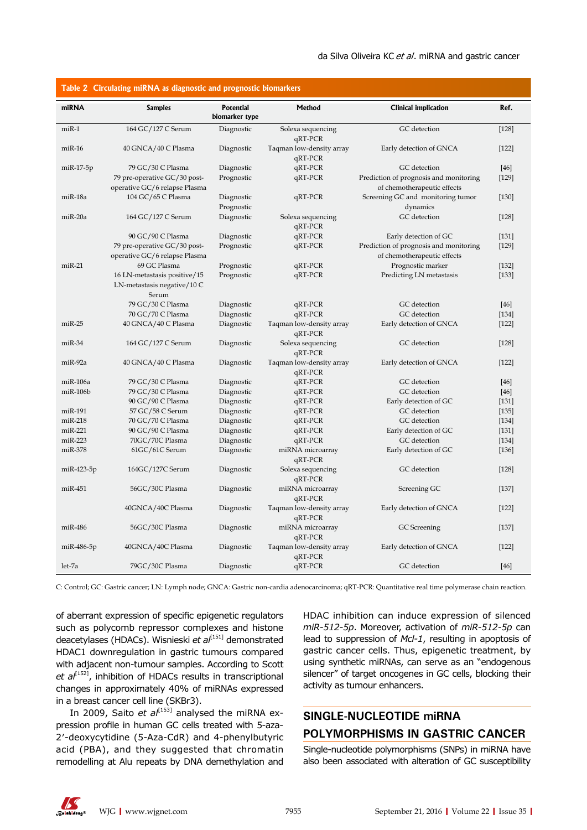| Table 2 Circulating miRNA as diagnostic and prognostic biomarkers |                                      |                                    |                                     |                                        |         |  |
|-------------------------------------------------------------------|--------------------------------------|------------------------------------|-------------------------------------|----------------------------------------|---------|--|
| miRNA                                                             | <b>Samples</b>                       | <b>Potential</b><br>biomarker type | Method                              | <b>Clinical implication</b>            | Ref.    |  |
| $miR-1$                                                           | 164 GC/127 C Serum                   | Diagnostic                         | Solexa sequencing<br>qRT-PCR        | GC detection                           | $[128]$ |  |
| $miR-16$                                                          | 40 GNCA/40 C Plasma                  | Diagnostic                         | Taqman low-density array<br>qRT-PCR | Early detection of GNCA                | $[122]$ |  |
| $miR-17-5p$                                                       | 79 GC/30 C Plasma                    | Diagnostic                         | qRT-PCR                             | GC detection                           | $[46]$  |  |
|                                                                   | 79 pre-operative GC/30 post-         | Prognostic                         | qRT-PCR                             | Prediction of prognosis and monitoring | $[129]$ |  |
|                                                                   | operative GC/6 relapse Plasma        |                                    |                                     | of chemotherapeutic effects            |         |  |
| miR-18a                                                           | 104 GC/65 C Plasma                   | Diagnostic                         | qRT-PCR                             | Screening GC and monitoring tumor      | $[130]$ |  |
|                                                                   |                                      | Prognostic                         |                                     | dynamics                               |         |  |
| miR-20a                                                           | 164 GC/127 C Serum                   | Diagnostic                         | Solexa sequencing<br>qRT-PCR        | GC detection                           | $[128]$ |  |
|                                                                   | 90 GC/90 C Plasma                    | Diagnostic                         | qRT-PCR                             | Early detection of GC                  | $[131]$ |  |
|                                                                   | 79 pre-operative GC/30 post-         | Prognostic                         | qRT-PCR                             | Prediction of prognosis and monitoring | $[129]$ |  |
|                                                                   | operative GC/6 relapse Plasma        |                                    |                                     | of chemotherapeutic effects            |         |  |
| $miR-21$                                                          | 69 GC Plasma                         | Prognostic                         | qRT-PCR                             | Prognostic marker                      | $[132]$ |  |
|                                                                   | 16 LN-metastasis positive/15         | Prognostic                         | qRT-PCR                             | Predicting LN metastasis               | $[133]$ |  |
|                                                                   | LN-metastasis negative/10 C<br>Serum |                                    |                                     |                                        |         |  |
|                                                                   | 79 GC/30 C Plasma                    | Diagnostic                         | qRT-PCR                             | GC detection                           | $[46]$  |  |
|                                                                   | 70 GC/70 C Plasma                    | Diagnostic                         | qRT-PCR                             | GC detection                           | $[134]$ |  |
| $miR-25$                                                          | 40 GNCA/40 C Plasma                  | Diagnostic                         | Taqman low-density array            | Early detection of GNCA                | [122]   |  |
|                                                                   |                                      |                                    | qRT-PCR                             |                                        |         |  |
| $miR-34$                                                          | 164 GC/127 C Serum                   | Diagnostic                         | Solexa sequencing<br>qRT-PCR        | GC detection                           | $[128]$ |  |
| miR-92a                                                           | 40 GNCA/40 C Plasma                  | Diagnostic                         | Taqman low-density array<br>qRT-PCR | Early detection of GNCA                | $[122]$ |  |
| miR-106a                                                          | 79 GC/30 C Plasma                    | Diagnostic                         | qRT-PCR                             | GC detection                           | $[46]$  |  |
| $m$ i $R-106b$                                                    | 79 GC/30 C Plasma                    | Diagnostic                         | qRT-PCR                             | GC detection                           | $[46]$  |  |
|                                                                   | 90 GC/90 C Plasma                    | Diagnostic                         | qRT-PCR                             | Early detection of GC                  | $[131]$ |  |
| miR-191                                                           | 57 GC/58 C Serum                     | Diagnostic                         | qRT-PCR                             | GC detection                           | [135]   |  |
| miR-218                                                           | 70 GC/70 C Plasma                    | Diagnostic                         | qRT-PCR                             | GC detection                           | $[134]$ |  |
| $miR-221$                                                         | 90 GC/90 C Plasma                    | Diagnostic                         | qRT-PCR                             | Early detection of GC                  | $[131]$ |  |
| $miR-223$                                                         | 70GC/70C Plasma                      | Diagnostic                         | qRT-PCR                             | GC detection                           | $[134]$ |  |
| miR-378                                                           | 61GC/61C Serum                       | Diagnostic                         | miRNA microarray<br>qRT-PCR         | Early detection of GC                  | $[136]$ |  |
| miR-423-5p                                                        | 164GC/127C Serum                     | Diagnostic                         | Solexa sequencing<br>qRT-PCR        | GC detection                           | $[128]$ |  |
| miR-451                                                           | 56GC/30C Plasma                      | Diagnostic                         | miRNA microarray<br>qRT-PCR         | Screening GC                           | $[137]$ |  |
|                                                                   | 40GNCA/40C Plasma                    | Diagnostic                         | Taqman low-density array<br>qRT-PCR | Early detection of GNCA                | $[122]$ |  |
| miR-486                                                           | 56GC/30C Plasma                      | Diagnostic                         | miRNA microarray<br>qRT-PCR         | GC Screening                           | [137]   |  |
| miR-486-5p                                                        | 40GNCA/40C Plasma                    | Diagnostic                         | Taqman low-density array<br>qRT-PCR | Early detection of GNCA                | $[122]$ |  |
| let-7a                                                            | 79GC/30C Plasma                      | Diagnostic                         | qRT-PCR                             | GC detection                           | $[46]$  |  |

C: Control; GC: Gastric cancer; LN: Lymph node; GNCA: Gastric non-cardia adenocarcinoma; qRT-PCR: Quantitative real time polymerase chain reaction.

of aberrant expression of specific epigenetic regulators such as polycomb repressor complexes and histone deacetylases (HDACs). Wisnieski et al<sup>(151)</sup> demonstrated HDAC1 downregulation in gastric tumours compared with adjacent non-tumour samples. According to Scott et al<sup>[152]</sup>, inhibition of HDACs results in transcriptional changes in approximately 40% of miRNAs expressed in a breast cancer cell line (SKBr3).

In 2009, Saito *et al*<sup>[153]</sup> analysed the miRNA expression profile in human GC cells treated with 5-aza-2′-deoxycytidine (5-Aza-CdR) and 4-phenylbutyric acid (PBA), and they suggested that chromatin remodelling at Alu repeats by DNA demethylation and

HDAC inhibition can induce expression of silenced *miR-512-5p*. Moreover, activation of *miR-512-5p* can lead to suppression of *Mcl-1*, resulting in apoptosis of gastric cancer cells. Thus, epigenetic treatment, by using synthetic miRNAs, can serve as an "endogenous silencer" of target oncogenes in GC cells, blocking their activity as tumour enhancers.

## **SINGLE-NUCLEOTIDE miRNA POLYMORPHISMS IN GASTRIC CANCER**

Single-nucleotide polymorphisms (SNPs) in miRNA have also been associated with alteration of GC susceptibility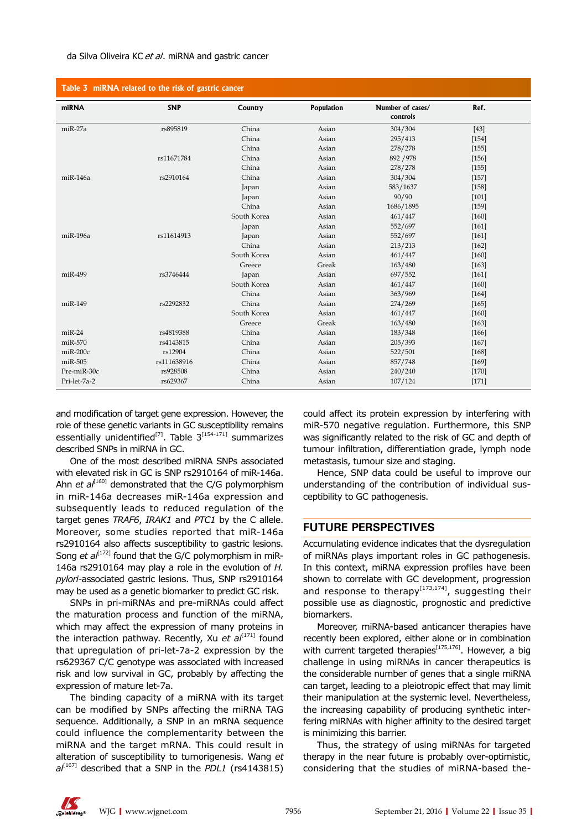#### da Silva Oliveira KC et al. miRNA and gastric cancer

| Table 3 miRNA related to the risk of gastric cancer |             |             |                   |                              |         |  |  |
|-----------------------------------------------------|-------------|-------------|-------------------|------------------------------|---------|--|--|
| miRNA                                               | <b>SNP</b>  | Country     | <b>Population</b> | Number of cases/<br>controls | Ref.    |  |  |
| $miR-27a$                                           | rs895819    | China       | Asian             | 304/304                      | $[43]$  |  |  |
|                                                     |             | China       | Asian             | 295/413                      | $[154]$ |  |  |
|                                                     |             | China       | Asian             | 278/278                      | [155]   |  |  |
|                                                     | rs11671784  | China       | Asian             | 892 / 978                    | $[156]$ |  |  |
|                                                     |             | China       | Asian             | 278/278                      | $[155]$ |  |  |
| $miR-146a$                                          | rs2910164   | China       | Asian             | 304/304                      | $[157]$ |  |  |
|                                                     |             | Japan       | Asian             | 583/1637                     | $[158]$ |  |  |
|                                                     |             | Japan       | Asian             | 90/90                        | $[101]$ |  |  |
|                                                     |             | China       | Asian             | 1686/1895                    | [159]   |  |  |
|                                                     |             | South Korea | Asian             | 461/447                      | $[160]$ |  |  |
|                                                     |             | Japan       | Asian             | 552/697                      | $[161]$ |  |  |
| miR-196a                                            | rs11614913  | Japan       | Asian             | 552/697                      | $[161]$ |  |  |
|                                                     |             | China       | Asian             | 213/213                      | $[162]$ |  |  |
|                                                     |             | South Korea | Asian             | 461/447                      | $[160]$ |  |  |
|                                                     |             | Greece      | Greak             | 163/480                      | $[163]$ |  |  |
| miR-499                                             | rs3746444   | Japan       | Asian             | 697/552                      | $[161]$ |  |  |
|                                                     |             | South Korea | Asian             | 461/447                      | $[160]$ |  |  |
|                                                     |             | China       | Asian             | 363/969                      | $[164]$ |  |  |
| $miR-149$                                           | rs2292832   | China       | Asian             | 274/269                      | $[165]$ |  |  |
|                                                     |             | South Korea | Asian             | 461/447                      | $[160]$ |  |  |
|                                                     |             | Greece      | Greak             | 163/480                      | $[163]$ |  |  |
| $miR-24$                                            | rs4819388   | China       | Asian             | 183/348                      | $[166]$ |  |  |
| $miR-570$                                           | rs4143815   | China       | Asian             | 205/393                      | $[167]$ |  |  |
| miR-200c                                            | rs12904     | China       | Asian             | 522/501                      | $[168]$ |  |  |
| $miR-505$                                           | rs111638916 | China       | Asian             | 857/748                      | $[169]$ |  |  |
| Pre-miR-30c                                         | rs928508    | China       | Asian             | 240/240                      | $[170]$ |  |  |
| Pri-let-7a-2                                        | rs629367    | China       | Asian             | 107/124                      | $[171]$ |  |  |

and modification of target gene expression. However, the role of these genetic variants in GC susceptibility remains essentially unidentified<sup>[7]</sup>. Table  $3^{[154 \cdot 171]}$  summarizes described SNPs in miRNA in GC.

One of the most described miRNA SNPs associated with elevated risk in GC is SNP rs2910164 of miR-146a. Ahn *et al*<sup> $[160]$ </sup> demonstrated that the C/G polymorphism in miR-146a decreases miR-146a expression and subsequently leads to reduced regulation of the target genes *TRAF6*, *IRAK1* and *PTC1* by the C allele. Moreover, some studies reported that miR-146a rs2910164 also affects susceptibility to gastric lesions. Song *et al*<sup>[172]</sup> found that the G/C polymorphism in miR-146a rs2910164 may play a role in the evolution of *H. pylori*-associated gastric lesions. Thus, SNP rs2910164 may be used as a genetic biomarker to predict GC risk.

SNPs in pri-miRNAs and pre-miRNAs could affect the maturation process and function of the miRNA, which may affect the expression of many proteins in the interaction pathway. Recently, Xu et al<sup>[171]</sup> found that upregulation of pri-let-7a-2 expression by the rs629367 C/C genotype was associated with increased risk and low survival in GC, probably by affecting the expression of mature let-7a.

The binding capacity of a miRNA with its target can be modified by SNPs affecting the miRNA TAG sequence. Additionally, a SNP in an mRNA sequence could influence the complementarity between the miRNA and the target mRNA. This could result in alteration of susceptibility to tumorigenesis. Wang *et al*[167] described that a SNP in the *PDL1* (rs4143815)

could affect its protein expression by interfering with miR-570 negative regulation. Furthermore, this SNP was significantly related to the risk of GC and depth of tumour infiltration, differentiation grade, lymph node metastasis, tumour size and staging.

Hence, SNP data could be useful to improve our understanding of the contribution of individual susceptibility to GC pathogenesis.

#### **FUTURE PERSPECTIVES**

Accumulating evidence indicates that the dysregulation of miRNAs plays important roles in GC pathogenesis. In this context, miRNA expression profiles have been shown to correlate with GC development, progression and response to therapy<sup>[173,174]</sup>, suggesting their possible use as diagnostic, prognostic and predictive biomarkers.

Moreover, miRNA-based anticancer therapies have recently been explored, either alone or in combination with current targeted therapies<sup>[175,176]</sup>. However, a big challenge in using miRNAs in cancer therapeutics is the considerable number of genes that a single miRNA can target, leading to a pleiotropic effect that may limit their manipulation at the systemic level. Nevertheless, the increasing capability of producing synthetic interfering miRNAs with higher affinity to the desired target is minimizing this barrier.

Thus, the strategy of using miRNAs for targeted therapy in the near future is probably over-optimistic, considering that the studies of miRNA-based the-

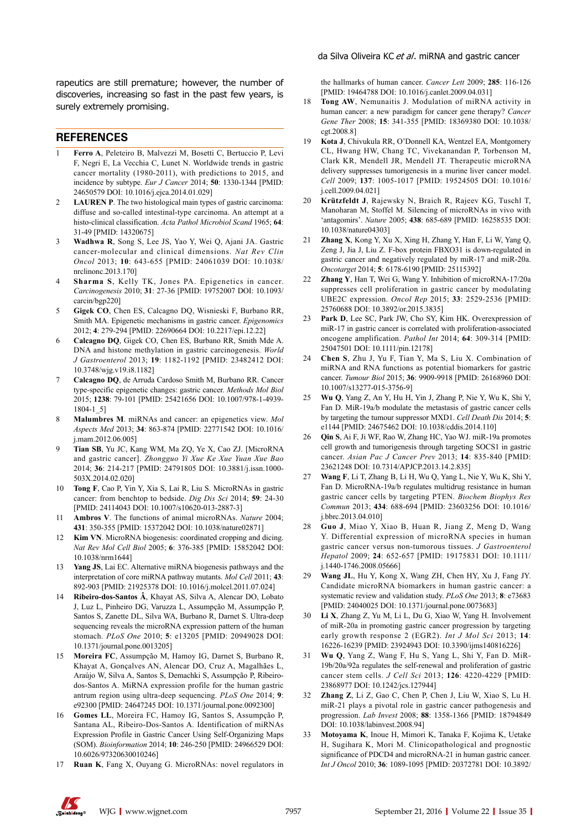rapeutics are still premature; however, the number of discoveries, increasing so fast in the past few years, is surely extremely promising.

#### **REFERENCES**

- 1 **Ferro A**, Peleteiro B, Malvezzi M, Bosetti C, Bertuccio P, Levi F, Negri E, La Vecchia C, Lunet N. Worldwide trends in gastric cancer mortality (1980-2011), with predictions to 2015, and incidence by subtype. *Eur J Cancer* 2014; **50**: 1330-1344 [PMID: 24650579 DOI: 10.1016/j.ejca.2014.01.029]
- **LAUREN P**. The two histological main types of gastric carcinoma: diffuse and so-called intestinal-type carcinoma. An attempt at a histo-clinical classification. *Acta Pathol Microbiol Scand* 1965; **64**: 31-49 [PMID: 14320675]
- 3 **Wadhwa R**, Song S, Lee JS, Yao Y, Wei Q, Ajani JA. Gastric cancer-molecular and clinical dimensions. *Nat Rev Clin Oncol* 2013; **10**: 643-655 [PMID: 24061039 DOI: 10.1038/ nrclinonc.2013.170]
- 4 **Sharma S**, Kelly TK, Jones PA. Epigenetics in cancer. *Carcinogenesis* 2010; **31**: 27-36 [PMID: 19752007 DOI: 10.1093/ carcin/bgp220]
- 5 **Gigek CO**, Chen ES, Calcagno DQ, Wisnieski F, Burbano RR, Smith MA. Epigenetic mechanisms in gastric cancer. *Epigenomics* 2012; **4**: 279-294 [PMID: 22690664 DOI: 10.2217/epi.12.22]
- 6 **Calcagno DQ**, Gigek CO, Chen ES, Burbano RR, Smith Mde A. DNA and histone methylation in gastric carcinogenesis. *World J Gastroenterol* 2013; **19**: 1182-1192 [PMID: 23482412 DOI: 10.3748/wjg.v19.i8.1182]
- 7 **Calcagno DQ**, de Arruda Cardoso Smith M, Burbano RR. Cancer type-specific epigenetic changes: gastric cancer. *Methods Mol Biol* 2015; **1238**: 79-101 [PMID: 25421656 DOI: 10.1007/978-1-4939- 1804-1\_5]
- 8 **Malumbres M**. miRNAs and cancer: an epigenetics view. *Mol Aspects Med* 2013; **34**: 863-874 [PMID: 22771542 DOI: 10.1016/ j.mam.2012.06.005]
- 9 **Tian SB**, Yu JC, Kang WM, Ma ZQ, Ye X, Cao ZJ. [MicroRNA and gastric cancer]. *Zhongguo Yi Xue Ke Xue Yuan Xue Bao* 2014; **36**: 214-217 [PMID: 24791805 DOI: 10.3881/j.issn.1000- 503X.2014.02.020]
- 10 **Tong F**, Cao P, Yin Y, Xia S, Lai R, Liu S. MicroRNAs in gastric cancer: from benchtop to bedside. *Dig Dis Sci* 2014; **59**: 24-30 [PMID: 24114043 DOI: 10.1007/s10620-013-2887-3]
- 11 **Ambros V**. The functions of animal microRNAs. *Nature* 2004; **431**: 350-355 [PMID: 15372042 DOI: 10.1038/nature02871]
- 12 **Kim VN**. MicroRNA biogenesis: coordinated cropping and dicing. *Nat Rev Mol Cell Biol* 2005; **6**: 376-385 [PMID: 15852042 DOI: 10.1038/nrm1644]
- 13 **Yang JS**, Lai EC. Alternative miRNA biogenesis pathways and the interpretation of core miRNA pathway mutants. *Mol Cell* 2011; **43**: 892-903 [PMID: 21925378 DOI: 10.1016/j.molcel.2011.07.024]
- 14 **Ribeiro-dos-Santos Â**, Khayat AS, Silva A, Alencar DO, Lobato J, Luz L, Pinheiro DG, Varuzza L, Assumpção M, Assumpção P, Santos S, Zanette DL, Silva WA, Burbano R, Darnet S. Ultra-deep sequencing reveals the microRNA expression pattern of the human stomach. *PLoS One* 2010; **5**: e13205 [PMID: 20949028 DOI: 10.1371/journal.pone.0013205]
- 15 **Moreira FC**, Assumpção M, Hamoy IG, Darnet S, Burbano R, Khayat A, Gonçalves AN, Alencar DO, Cruz A, Magalhães L, Araújo W, Silva A, Santos S, Demachki S, Assumpção P, Ribeirodos-Santos A. MiRNA expression profile for the human gastric antrum region using ultra-deep sequencing. *PLoS One* 2014; **9**: e92300 [PMID: 24647245 DOI: 10.1371/journal.pone.0092300]
- 16 **Gomes LL**, Moreira FC, Hamoy IG, Santos S, Assumpção P, Santana AL, Ribeiro-Dos-Santos A. Identification of miRNAs Expression Profile in Gastric Cancer Using Self-Organizing Maps (SOM). *Bioinformation* 2014; **10**: 246-250 [PMID: 24966529 DOI: 10.6026/97320630010246]
- 17 **Ruan K**, Fang X, Ouyang G. MicroRNAs: novel regulators in

the hallmarks of human cancer. *Cancer Lett* 2009; **285**: 116-126 [PMID: 19464788 DOI: 10.1016/j.canlet.2009.04.031]

- 18 **Tong AW**, Nemunaitis J. Modulation of miRNA activity in human cancer: a new paradigm for cancer gene therapy? *Cancer Gene Ther* 2008; **15**: 341-355 [PMID: 18369380 DOI: 10.1038/ cgt.2008.8]
- 19 **Kota J**, Chivukula RR, O'Donnell KA, Wentzel EA, Montgomery CL, Hwang HW, Chang TC, Vivekanandan P, Torbenson M, Clark KR, Mendell JR, Mendell JT. Therapeutic microRNA delivery suppresses tumorigenesis in a murine liver cancer model. *Cell* 2009; **137**: 1005-1017 [PMID: 19524505 DOI: 10.1016/ j.cell.2009.04.021]
- 20 **Krützfeldt J**, Rajewsky N, Braich R, Rajeev KG, Tuschl T, Manoharan M, Stoffel M. Silencing of microRNAs in vivo with 'antagomirs'. *Nature* 2005; **438**: 685-689 [PMID: 16258535 DOI: 10.1038/nature04303]
- 21 **Zhang X**, Kong Y, Xu X, Xing H, Zhang Y, Han F, Li W, Yang Q, Zeng J, Jia J, Liu Z. F-box protein FBXO31 is down-regulated in gastric cancer and negatively regulated by miR-17 and miR-20a. *Oncotarget* 2014; **5**: 6178-6190 [PMID: 25115392]
- **Zhang Y**, Han T, Wei G, Wang Y. Inhibition of microRNA-17/20a suppresses cell proliferation in gastric cancer by modulating UBE2C expression. *Oncol Rep* 2015; **33**: 2529-2536 [PMID: 25760688 DOI: 10.3892/or.2015.3835]
- 23 **Park D**, Lee SC, Park JW, Cho SY, Kim HK. Overexpression of miR-17 in gastric cancer is correlated with proliferation-associated oncogene amplification. *Pathol Int* 2014; **64**: 309-314 [PMID: 25047501 DOI: 10.1111/pin.12178]
- 24 **Chen S**, Zhu J, Yu F, Tian Y, Ma S, Liu X. Combination of miRNA and RNA functions as potential biomarkers for gastric cancer. *Tumour Biol* 2015; **36**: 9909-9918 [PMID: 26168960 DOI: 10.1007/s13277-015-3756-9]
- 25 **Wu Q**, Yang Z, An Y, Hu H, Yin J, Zhang P, Nie Y, Wu K, Shi Y, Fan D. MiR-19a/b modulate the metastasis of gastric cancer cells by targeting the tumour suppressor MXD1. *Cell Death Dis* 2014; **5**: e1144 [PMID: 24675462 DOI: 10.1038/cddis.2014.110]
- 26 **Qin S**, Ai F, Ji WF, Rao W, Zhang HC, Yao WJ. miR-19a promotes cell growth and tumorigenesis through targeting SOCS1 in gastric cancer. *Asian Pac J Cancer Prev* 2013; **14**: 835-840 [PMID: 23621248 DOI: 10.7314/APJCP.2013.14.2.835]
- 27 **Wang F**, Li T, Zhang B, Li H, Wu Q, Yang L, Nie Y, Wu K, Shi Y, Fan D. MicroRNA-19a/b regulates multidrug resistance in human gastric cancer cells by targeting PTEN. *Biochem Biophys Res Commun* 2013; **434**: 688-694 [PMID: 23603256 DOI: 10.1016/ j.bbrc.2013.04.010]
- 28 **Guo J**, Miao Y, Xiao B, Huan R, Jiang Z, Meng D, Wang Y. Differential expression of microRNA species in human gastric cancer versus non-tumorous tissues. *J Gastroenterol Hepatol* 2009; **24**: 652-657 [PMID: 19175831 DOI: 10.1111/ j.1440-1746.2008.05666]
- 29 **Wang JL**, Hu Y, Kong X, Wang ZH, Chen HY, Xu J, Fang JY. Candidate microRNA biomarkers in human gastric cancer: a systematic review and validation study. *PLoS One* 2013; **8**: e73683 [PMID: 24040025 DOI: 10.1371/journal.pone.0073683]
- 30 **Li X**, Zhang Z, Yu M, Li L, Du G, Xiao W, Yang H. Involvement of miR-20a in promoting gastric cancer progression by targeting early growth response 2 (EGR2). *Int J Mol Sci* 2013; **14**: 16226-16239 [PMID: 23924943 DOI: 10.3390/ijms140816226]
- 31 **Wu Q**, Yang Z, Wang F, Hu S, Yang L, Shi Y, Fan D. MiR-19b/20a/92a regulates the self-renewal and proliferation of gastric cancer stem cells. *J Cell Sci* 2013; **126**: 4220-4229 [PMID: 23868977 DOI: 10.1242/jcs.127944]
- 32 **Zhang Z**, Li Z, Gao C, Chen P, Chen J, Liu W, Xiao S, Lu H. miR-21 plays a pivotal role in gastric cancer pathogenesis and progression. *Lab Invest* 2008; **88**: 1358-1366 [PMID: 18794849 DOI: 10.1038/labinvest.2008.94]
- 33 **Motoyama K**, Inoue H, Mimori K, Tanaka F, Kojima K, Uetake H, Sugihara K, Mori M. Clinicopathological and prognostic significance of PDCD4 and microRNA-21 in human gastric cancer. *Int J Oncol* 2010; **36**: 1089-1095 [PMID: 20372781 DOI: 10.3892/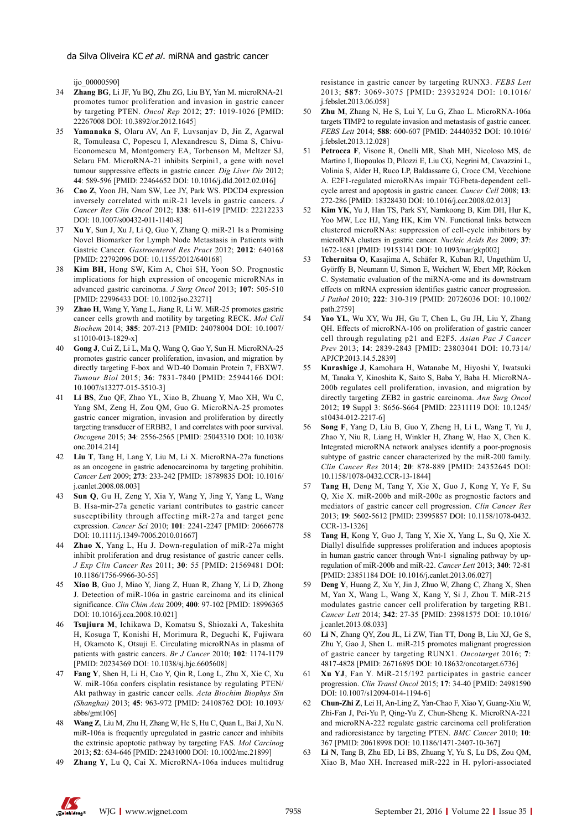ijo\_00000590]

- 34 **Zhang BG**, Li JF, Yu BQ, Zhu ZG, Liu BY, Yan M. microRNA-21 promotes tumor proliferation and invasion in gastric cancer by targeting PTEN. *Oncol Rep* 2012; **27**: 1019-1026 [PMID: 22267008 DOI: 10.3892/or.2012.1645]
- 35 **Yamanaka S**, Olaru AV, An F, Luvsanjav D, Jin Z, Agarwal R, Tomuleasa C, Popescu I, Alexandrescu S, Dima S, Chivu-Economescu M, Montgomery EA, Torbenson M, Meltzer SJ, Selaru FM. MicroRNA-21 inhibits Serpini1, a gene with novel tumour suppressive effects in gastric cancer. *Dig Liver Dis* 2012; **44**: 589-596 [PMID: 22464652 DOI: 10.1016/j.dld.2012.02.016]
- 36 **Cao Z**, Yoon JH, Nam SW, Lee JY, Park WS. PDCD4 expression inversely correlated with miR-21 levels in gastric cancers. *J Cancer Res Clin Oncol* 2012; **138**: 611-619 [PMID: 22212233 DOI: 10.1007/s00432-011-1140-8]
- 37 **Xu Y**, Sun J, Xu J, Li Q, Guo Y, Zhang Q. miR-21 Is a Promising Novel Biomarker for Lymph Node Metastasis in Patients with Gastric Cancer. *Gastroenterol Res Pract* 2012; **2012**: 640168 [PMID: 22792096 DOI: 10.1155/2012/640168]
- 38 **Kim BH**, Hong SW, Kim A, Choi SH, Yoon SO. Prognostic implications for high expression of oncogenic microRNAs in advanced gastric carcinoma. *J Surg Oncol* 2013; **107**: 505-510 [PMID: 22996433 DOI: 10.1002/jso.23271]
- 39 **Zhao H**, Wang Y, Yang L, Jiang R, Li W. MiR-25 promotes gastric cancer cells growth and motility by targeting RECK. *Mol Cell Biochem* 2014; **385**: 207-213 [PMID: 24078004 DOI: 10.1007/ s11010-013-1829-x]
- 40 **Gong J**, Cui Z, Li L, Ma Q, Wang Q, Gao Y, Sun H. MicroRNA-25 promotes gastric cancer proliferation, invasion, and migration by directly targeting F-box and WD-40 Domain Protein 7, FBXW7. *Tumour Biol* 2015; **36**: 7831-7840 [PMID: 25944166 DOI: 10.1007/s13277-015-3510-3]
- 41 **Li BS**, Zuo QF, Zhao YL, Xiao B, Zhuang Y, Mao XH, Wu C, Yang SM, Zeng H, Zou QM, Guo G. MicroRNA-25 promotes gastric cancer migration, invasion and proliferation by directly targeting transducer of ERBB2, 1 and correlates with poor survival. *Oncogene* 2015; **34**: 2556-2565 [PMID: 25043310 DOI: 10.1038/ onc.2014.214]
- 42 **Liu T**, Tang H, Lang Y, Liu M, Li X. MicroRNA-27a functions as an oncogene in gastric adenocarcinoma by targeting prohibitin. *Cancer Lett* 2009; **273**: 233-242 [PMID: 18789835 DOI: 10.1016/ j.canlet.2008.08.003]
- 43 **Sun Q**, Gu H, Zeng Y, Xia Y, Wang Y, Jing Y, Yang L, Wang B. Hsa-mir-27a genetic variant contributes to gastric cancer susceptibility through affecting miR-27a and target gene expression. *Cancer Sci* 2010; **101**: 2241-2247 [PMID: 20666778 DOI: 10.1111/j.1349-7006.2010.01667]
- 44 **Zhao X**, Yang L, Hu J. Down-regulation of miR-27a might inhibit proliferation and drug resistance of gastric cancer cells. *J Exp Clin Cancer Res* 2011; **30**: 55 [PMID: 21569481 DOI: 10.1186/1756-9966-30-55]
- 45 **Xiao B**, Guo J, Miao Y, Jiang Z, Huan R, Zhang Y, Li D, Zhong J. Detection of miR-106a in gastric carcinoma and its clinical significance. *Clin Chim Acta* 2009; **400**: 97-102 [PMID: 18996365 DOI: 10.1016/j.cca.2008.10.021]
- 46 **Tsujiura M**, Ichikawa D, Komatsu S, Shiozaki A, Takeshita H, Kosuga T, Konishi H, Morimura R, Deguchi K, Fujiwara H, Okamoto K, Otsuji E. Circulating microRNAs in plasma of patients with gastric cancers. *Br J Cancer* 2010; **102**: 1174-1179 [PMID: 20234369 DOI: 10.1038/sj.bjc.6605608]
- 47 **Fang Y**, Shen H, Li H, Cao Y, Qin R, Long L, Zhu X, Xie C, Xu W. miR-106a confers cisplatin resistance by regulating PTEN/ Akt pathway in gastric cancer cells. *Acta Biochim Biophys Sin (Shanghai)* 2013; **45**: 963-972 [PMID: 24108762 DOI: 10.1093/ abbs/gmt106]
- 48 **Wang Z**, Liu M, Zhu H, Zhang W, He S, Hu C, Quan L, Bai J, Xu N. miR-106a is frequently upregulated in gastric cancer and inhibits the extrinsic apoptotic pathway by targeting FAS. *Mol Carcinog* 2013; **52**: 634-646 [PMID: 22431000 DOI: 10.1002/mc.21899]
- 49 **Zhang Y**, Lu Q, Cai X. MicroRNA-106a induces multidrug

resistance in gastric cancer by targeting RUNX3. *FEBS Lett* 2013; **587**: 3069-3075 [PMID: 23932924 DOI: 10.1016/ j.febslet.2013.06.058]

- 50 **Zhu M**, Zhang N, He S, Lui Y, Lu G, Zhao L. MicroRNA-106a targets TIMP2 to regulate invasion and metastasis of gastric cancer. *FEBS Lett* 2014; **588**: 600-607 [PMID: 24440352 DOI: 10.1016/ j.febslet.2013.12.028]
- 51 **Petrocca F**, Visone R, Onelli MR, Shah MH, Nicoloso MS, de Martino I, Iliopoulos D, Pilozzi E, Liu CG, Negrini M, Cavazzini L, Volinia S, Alder H, Ruco LP, Baldassarre G, Croce CM, Vecchione A. E2F1-regulated microRNAs impair TGFbeta-dependent cellcycle arrest and apoptosis in gastric cancer. *Cancer Cell* 2008; **13**: 272-286 [PMID: 18328430 DOI: 10.1016/j.ccr.2008.02.013]
- 52 **Kim YK**, Yu J, Han TS, Park SY, Namkoong B, Kim DH, Hur K, Yoo MW, Lee HJ, Yang HK, Kim VN. Functional links between clustered microRNAs: suppression of cell-cycle inhibitors by microRNA clusters in gastric cancer. *Nucleic Acids Res* 2009; **37**: 1672-1681 [PMID: 19153141 DOI: 10.1093/nar/gkp002]
- 53 **Tchernitsa O**, Kasajima A, Schäfer R, Kuban RJ, Ungethüm U, Györffy B, Neumann U, Simon E, Weichert W, Ebert MP, Röcken C. Systematic evaluation of the miRNA-ome and its downstream effects on mRNA expression identifies gastric cancer progression. *J Pathol* 2010; **222**: 310-319 [PMID: 20726036 DOI: 10.1002/ path.2759]
- 54 **Yao YL**, Wu XY, Wu JH, Gu T, Chen L, Gu JH, Liu Y, Zhang QH. Effects of microRNA-106 on proliferation of gastric cancer cell through regulating p21 and E2F5. *Asian Pac J Cancer Prev* 2013; **14**: 2839-2843 [PMID: 23803041 DOI: 10.7314/ APJCP.2013.14.5.2839]
- 55 **Kurashige J**, Kamohara H, Watanabe M, Hiyoshi Y, Iwatsuki M, Tanaka Y, Kinoshita K, Saito S, Baba Y, Baba H. MicroRNA-200b regulates cell proliferation, invasion, and migration by directly targeting ZEB2 in gastric carcinoma. *Ann Surg Oncol* 2012; **19** Suppl 3: S656-S664 [PMID: 22311119 DOI: 10.1245/ s10434-012-2217-6]
- 56 **Song F**, Yang D, Liu B, Guo Y, Zheng H, Li L, Wang T, Yu J, Zhao Y, Niu R, Liang H, Winkler H, Zhang W, Hao X, Chen K. Integrated microRNA network analyses identify a poor-prognosis subtype of gastric cancer characterized by the miR-200 family. *Clin Cancer Res* 2014; **20**: 878-889 [PMID: 24352645 DOI: 10.1158/1078-0432.CCR-13-1844]
- 57 **Tang H**, Deng M, Tang Y, Xie X, Guo J, Kong Y, Ye F, Su Q, Xie X. miR-200b and miR-200c as prognostic factors and mediators of gastric cancer cell progression. *Clin Cancer Res* 2013; **19**: 5602-5612 [PMID: 23995857 DOI: 10.1158/1078-0432. CCR-13-1326]
- 58 **Tang H**, Kong Y, Guo J, Tang Y, Xie X, Yang L, Su Q, Xie X. Diallyl disulfide suppresses proliferation and induces apoptosis in human gastric cancer through Wnt-1 signaling pathway by upregulation of miR-200b and miR-22. *Cancer Lett* 2013; **340**: 72-81 [PMID: 23851184 DOI: 10.1016/j.canlet.2013.06.027]
- 59 **Deng Y**, Huang Z, Xu Y, Jin J, Zhuo W, Zhang C, Zhang X, Shen M, Yan X, Wang L, Wang X, Kang Y, Si J, Zhou T. MiR-215 modulates gastric cancer cell proliferation by targeting RB1. *Cancer Lett* 2014; **342**: 27-35 [PMID: 23981575 DOI: 10.1016/ j.canlet.2013.08.033]
- 60 **Li N**, Zhang QY, Zou JL, Li ZW, Tian TT, Dong B, Liu XJ, Ge S, Zhu Y, Gao J, Shen L. miR-215 promotes malignant progression of gastric cancer by targeting RUNX1. *Oncotarget* 2016; **7**: 4817-4828 [PMID: 26716895 DOI: 10.18632/oncotarget.6736]
- 61 **Xu YJ**, Fan Y. MiR-215/192 participates in gastric cancer progression. *Clin Transl Oncol* 2015; **17**: 34-40 [PMID: 24981590 DOI: 10.1007/s12094-014-1194-6]
- 62 **Chun-Zhi Z**, Lei H, An-Ling Z, Yan-Chao F, Xiao Y, Guang-Xiu W, Zhi-Fan J, Pei-Yu P, Qing-Yu Z, Chun-Sheng K. MicroRNA-221 and microRNA-222 regulate gastric carcinoma cell proliferation and radioresistance by targeting PTEN. *BMC Cancer* 2010; **10**: 367 [PMID: 20618998 DOI: 10.1186/1471-2407-10-367]
- 63 **Li N**, Tang B, Zhu ED, Li BS, Zhuang Y, Yu S, Lu DS, Zou QM, Xiao B, Mao XH. Increased miR-222 in H. pylori-associated

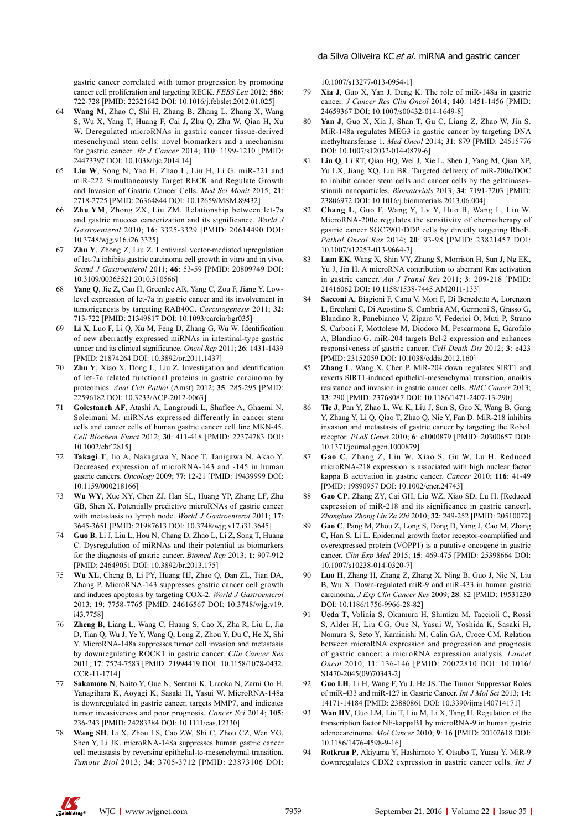gastric cancer correlated with tumor progression by promoting cancer cell proliferation and targeting RECK. *FEBS Lett* 2012; **586**: 722-728 [PMID: 22321642 DOI: 10.1016/j.febslet.2012.01.025]

- 64 **Wang M**, Zhao C, Shi H, Zhang B, Zhang L, Zhang X, Wang S, Wu X, Yang T, Huang F, Cai J, Zhu Q, Zhu W, Qian H, Xu W. Deregulated microRNAs in gastric cancer tissue-derived mesenchymal stem cells: novel biomarkers and a mechanism for gastric cancer. *Br J Cancer* 2014; **110**: 1199-1210 [PMID: 24473397 DOI: 10.1038/bjc.2014.14]
- 65 **Liu W**, Song N, Yao H, Zhao L, Liu H, Li G. miR-221 and miR-222 Simultaneously Target RECK and Regulate Growth and Invasion of Gastric Cancer Cells. *Med Sci Monit* 2015; **21**: 2718-2725 [PMID: 26364844 DOI: 10.12659/MSM.89432]
- 66 **Zhu YM**, Zhong ZX, Liu ZM. Relationship between let-7a and gastric mucosa cancerization and its significance. *World J Gastroenterol* 2010; **16**: 3325-3329 [PMID: 20614490 DOI: 10.3748/wjg.v16.i26.3325]
- 67 **Zhu Y**, Zhong Z, Liu Z. Lentiviral vector-mediated upregulation of let-7a inhibits gastric carcinoma cell growth in vitro and in vivo. *Scand J Gastroenterol* 2011; **46**: 53-59 [PMID: 20809749 DOI: 10.3109/00365521.2010.510566]
- 68 **Yang Q**, Jie Z, Cao H, Greenlee AR, Yang C, Zou F, Jiang Y. Lowlevel expression of let-7a in gastric cancer and its involvement in tumorigenesis by targeting RAB40C. *Carcinogenesis* 2011; **32**: 713-722 [PMID: 21349817 DOI: 10.1093/carcin/bgr035]
- 69 **Li X**, Luo F, Li Q, Xu M, Feng D, Zhang G, Wu W. Identification of new aberrantly expressed miRNAs in intestinal-type gastric cancer and its clinical significance. *Oncol Rep* 2011; **26**: 1431-1439 [PMID: 21874264 DOI: 10.3892/or.2011.1437]
- 70 **Zhu Y**, Xiao X, Dong L, Liu Z. Investigation and identification of let-7a related functional proteins in gastric carcinoma by proteomics. *Anal Cell Pathol* (Amst) 2012; **35**: 285-295 [PMID: 22596182 DOI: 10.3233/ACP-2012-0063]
- 71 **Golestaneh AF**, Atashi A, Langroudi L, Shafiee A, Ghaemi N, Soleimani M. miRNAs expressed differently in cancer stem cells and cancer cells of human gastric cancer cell line MKN-45. *Cell Biochem Funct* 2012; **30**: 411-418 [PMID: 22374783 DOI: 10.1002/cbf.2815]
- 72 **Takagi T**, Iio A, Nakagawa Y, Naoe T, Tanigawa N, Akao Y. Decreased expression of microRNA-143 and -145 in human gastric cancers. *Oncology* 2009; **77**: 12-21 [PMID: 19439999 DOI: 10.1159/000218166]
- 73 **Wu WY**, Xue XY, Chen ZJ, Han SL, Huang YP, Zhang LF, Zhu GB, Shen X. Potentially predictive microRNAs of gastric cancer with metastasis to lymph node. *World J Gastroenterol* 2011; **17**: 3645-3651 [PMID: 21987613 DOI: 10.3748/wjg.v17.i31.3645]
- 74 **Guo B**, Li J, Liu L, Hou N, Chang D, Zhao L, Li Z, Song T, Huang C. Dysregulation of miRNAs and their potential as biomarkers for the diagnosis of gastric cancer. *Biomed Rep* 2013; **1**: 907-912 [PMID: 24649051 DOI: 10.3892/br.2013.175]
- 75 **Wu XL**, Cheng B, Li PY, Huang HJ, Zhao Q, Dan ZL, Tian DA, Zhang P. MicroRNA-143 suppresses gastric cancer cell growth and induces apoptosis by targeting COX-2. *World J Gastroenterol* 2013; **19**: 7758-7765 [PMID: 24616567 DOI: 10.3748/wjg.v19. i43.7758]
- 76 **Zheng B**, Liang L, Wang C, Huang S, Cao X, Zha R, Liu L, Jia D, Tian Q, Wu J, Ye Y, Wang Q, Long Z, Zhou Y, Du C, He X, Shi Y. MicroRNA-148a suppresses tumor cell invasion and metastasis by downregulating ROCK1 in gastric cancer. *Clin Cancer Res* 2011; **17**: 7574-7583 [PMID: 21994419 DOI: 10.1158/1078-0432. CCR-11-1714]
- Sakamoto N, Naito Y, Oue N, Sentani K, Uraoka N, Zarni Oo H, Yanagihara K, Aoyagi K, Sasaki H, Yasui W. MicroRNA-148a is downregulated in gastric cancer, targets MMP7, and indicates tumor invasiveness and poor prognosis. *Cancer Sci* 2014; **105**: 236-243 [PMID: 24283384 DOI: 10.1111/cas.12330]
- 78 **Wang SH**, Li X, Zhou LS, Cao ZW, Shi C, Zhou CZ, Wen YG, Shen Y, Li JK. microRNA-148a suppresses human gastric cancer cell metastasis by reversing epithelial-to-mesenchymal transition. *Tumour Biol* 2013; **34**: 3705-3712 [PMID: 23873106 DOI:

10.1007/s13277-013-0954-1]

- 79 **Xia J**, Guo X, Yan J, Deng K. The role of miR-148a in gastric cancer. *J Cancer Res Clin Oncol* 2014; **140**: 1451-1456 [PMID: 24659367 DOI: 10.1007/s00432-014-1649-8]
- 80 **Yan J**, Guo X, Xia J, Shan T, Gu C, Liang Z, Zhao W, Jin S. MiR-148a regulates MEG3 in gastric cancer by targeting DNA methyltransferase 1. *Med Oncol* 2014; **31**: 879 [PMID: 24515776 DOI: 10.1007/s12032-014-0879-6]
- 81 **Liu Q**, Li RT, Qian HQ, Wei J, Xie L, Shen J, Yang M, Qian XP, Yu LX, Jiang XQ, Liu BR. Targeted delivery of miR-200c/DOC to inhibit cancer stem cells and cancer cells by the gelatinasesstimuli nanoparticles. *Biomaterials* 2013; **34**: 7191-7203 [PMID: 23806972 DOI: 10.1016/j.biomaterials.2013.06.004]
- 82 **Chang L**, Guo F, Wang Y, Lv Y, Huo B, Wang L, Liu W. MicroRNA-200c regulates the sensitivity of chemotherapy of gastric cancer SGC7901/DDP cells by directly targeting RhoE. *Pathol Oncol Res* 2014; **20**: 93-98 [PMID: 23821457 DOI: 10.1007/s12253-013-9664-7]
- 83 **Lam EK**, Wang X, Shin VY, Zhang S, Morrison H, Sun J, Ng EK, Yu J, Jin H. A microRNA contribution to aberrant Ras activation in gastric cancer. *Am J Transl Res* 2011; **3**: 209-218 [PMID: 21416062 DOI: 10.1158/1538-7445.AM2011-133]
- 84 **Sacconi A**, Biagioni F, Canu V, Mori F, Di Benedetto A, Lorenzon L, Ercolani C, Di Agostino S, Cambria AM, Germoni S, Grasso G, Blandino R, Panebianco V, Ziparo V, Federici O, Muti P, Strano S, Carboni F, Mottolese M, Diodoro M, Pescarmona E, Garofalo A, Blandino G. miR-204 targets Bcl-2 expression and enhances responsiveness of gastric cancer. *Cell Death Dis* 2012; **3**: e423 [PMID: 23152059 DOI: 10.1038/cddis.2012.160]
- 85 **Zhang L**, Wang X, Chen P. MiR-204 down regulates SIRT1 and reverts SIRT1-induced epithelial-mesenchymal transition, anoikis resistance and invasion in gastric cancer cells. *BMC Cancer* 2013; **13**: 290 [PMID: 23768087 DOI: 10.1186/1471-2407-13-290]
- 86 **Tie J**, Pan Y, Zhao L, Wu K, Liu J, Sun S, Guo X, Wang B, Gang Y, Zhang Y, Li Q, Qiao T, Zhao Q, Nie Y, Fan D. MiR-218 inhibits invasion and metastasis of gastric cancer by targeting the Robo1 receptor. *PLoS Genet* 2010; **6**: e1000879 [PMID: 20300657 DOI: 10.1371/journal.pgen.1000879]
- 87 **Gao C**, Zhang Z, Liu W, Xiao S, Gu W, Lu H. Reduced microRNA-218 expression is associated with high nuclear factor kappa B activation in gastric cancer. *Cancer* 2010; **116**: 41-49 [PMID: 19890957 DOI: 10.1002/cncr.24743]
- 88 **Gao CP**, Zhang ZY, Cai GH, Liu WZ, Xiao SD, Lu H. [Reduced expression of miR-218 and its significance in gastric cancer]. *Zhonghua Zhong Liu Za Zhi* 2010; **32**: 249-252 [PMID: 20510072]
- 89 **Gao C**, Pang M, Zhou Z, Long S, Dong D, Yang J, Cao M, Zhang C, Han S, Li L. Epidermal growth factor receptor-coamplified and overexpressed protein (VOPP1) is a putative oncogene in gastric cancer. *Clin Exp Med* 2015; **15**: 469-475 [PMID: 25398664 DOI: 10.1007/s10238-014-0320-7]
- 90 **Luo H**, Zhang H, Zhang Z, Zhang X, Ning B, Guo J, Nie N, Liu B, Wu X. Down-regulated miR-9 and miR-433 in human gastric carcinoma. *J Exp Clin Cancer Res* 2009; **28**: 82 [PMID: 19531230 DOI: 10.1186/1756-9966-28-82]
- 91 **Ueda T**, Volinia S, Okumura H, Shimizu M, Taccioli C, Rossi S, Alder H, Liu CG, Oue N, Yasui W, Yoshida K, Sasaki H, Nomura S, Seto Y, Kaminishi M, Calin GA, Croce CM. Relation between microRNA expression and progression and prognosis of gastric cancer: a microRNA expression analysis. *Lancet Oncol* 2010; **11**: 136-146 [PMID: 20022810 DOI: 10.1016/ S1470-2045(09)70343-2]
- 92 **Guo LH**, Li H, Wang F, Yu J, He JS. The Tumor Suppressor Roles of miR-433 and miR-127 in Gastric Cancer. *Int J Mol Sci* 2013; **14**: 14171-14184 [PMID: 23880861 DOI: 10.3390/ijms140714171]
- 93 **Wan HY**, Guo LM, Liu T, Liu M, Li X, Tang H. Regulation of the transcription factor NF-kappaB1 by microRNA-9 in human gastric adenocarcinoma. *Mol Cancer* 2010; **9**: 16 [PMID: 20102618 DOI: 10.1186/1476-4598-9-16]
- 94 **Rotkrua P**, Akiyama Y, Hashimoto Y, Otsubo T, Yuasa Y. MiR-9 downregulates CDX2 expression in gastric cancer cells. *Int J*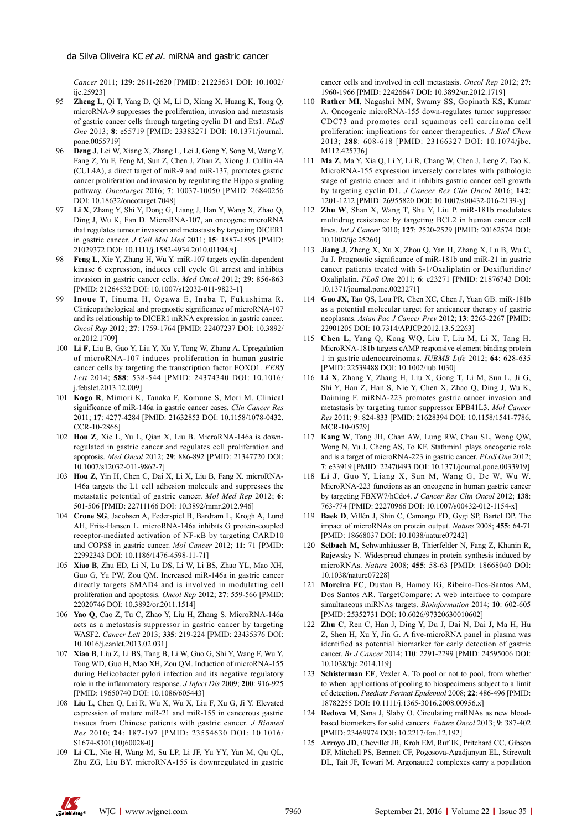*Cancer* 2011; **129**: 2611-2620 [PMID: 21225631 DOI: 10.1002/ iic.259231

- 95 **Zheng L**, Qi T, Yang D, Qi M, Li D, Xiang X, Huang K, Tong Q. microRNA-9 suppresses the proliferation, invasion and metastasis of gastric cancer cells through targeting cyclin D1 and Ets1. *PLoS One* 2013; **8**: e55719 [PMID: 23383271 DOI: 10.1371/journal. pone.0055719]
- 96 **Deng J**, Lei W, Xiang X, Zhang L, Lei J, Gong Y, Song M, Wang Y, Fang Z, Yu F, Feng M, Sun Z, Chen J, Zhan Z, Xiong J. Cullin 4A (CUL4A), a direct target of miR-9 and miR-137, promotes gastric cancer proliferation and invasion by regulating the Hippo signaling pathway. *Oncotarget* 2016; **7**: 10037-10050 [PMID: 26840256 DOI: 10.18632/oncotarget.7048]
- 97 **Li X**, Zhang Y, Shi Y, Dong G, Liang J, Han Y, Wang X, Zhao Q, Ding J, Wu K, Fan D. MicroRNA-107, an oncogene microRNA that regulates tumour invasion and metastasis by targeting DICER1 in gastric cancer. *J Cell Mol Med* 2011; **15**: 1887-1895 [PMID: 21029372 DOI: 10.1111/j.1582-4934.2010.01194.x]
- Feng L, Xie Y, Zhang H, Wu Y. miR-107 targets cyclin-dependent kinase 6 expression, induces cell cycle G1 arrest and inhibits invasion in gastric cancer cells. *Med Oncol* 2012; **29**: 856-863 [PMID: 21264532 DOI: 10.1007/s12032-011-9823-1]
- 99 **Inoue T**, Iinuma H, Ogawa E, Inaba T, Fukushima R. Clinicopathological and prognostic significance of microRNA-107 and its relationship to DICER1 mRNA expression in gastric cancer. *Oncol Rep* 2012; **27**: 1759-1764 [PMID: 22407237 DOI: 10.3892/ or.2012.1709]
- 100 **Li F**, Liu B, Gao Y, Liu Y, Xu Y, Tong W, Zhang A. Upregulation of microRNA-107 induces proliferation in human gastric cancer cells by targeting the transcription factor FOXO1. *FEBS Lett* 2014; **588**: 538-544 [PMID: 24374340 DOI: 10.1016/ j.febslet.2013.12.009]
- 101 **Kogo R**, Mimori K, Tanaka F, Komune S, Mori M. Clinical significance of miR-146a in gastric cancer cases. *Clin Cancer Res* 2011; **17**: 4277-4284 [PMID: 21632853 DOI: 10.1158/1078-0432. CCR-10-2866]
- 102 **Hou Z**, Xie L, Yu L, Qian X, Liu B. MicroRNA-146a is downregulated in gastric cancer and regulates cell proliferation and apoptosis. *Med Oncol* 2012; **29**: 886-892 [PMID: 21347720 DOI: 10.1007/s12032-011-9862-7]
- 103 **Hou Z**, Yin H, Chen C, Dai X, Li X, Liu B, Fang X. microRNA-146a targets the L1 cell adhesion molecule and suppresses the metastatic potential of gastric cancer. *Mol Med Rep* 2012; **6**: 501-506 [PMID: 22711166 DOI: 10.3892/mmr.2012.946]
- 104 **Crone SG**, Jacobsen A, Federspiel B, Bardram L, Krogh A, Lund AH, Friis-Hansen L. microRNA-146a inhibits G protein-coupled receptor-mediated activation of NF-κB by targeting CARD10 and COPS8 in gastric cancer. *Mol Cancer* 2012; **11**: 71 [PMID: 22992343 DOI: 10.1186/1476-4598-11-71]
- 105 **Xiao B**, Zhu ED, Li N, Lu DS, Li W, Li BS, Zhao YL, Mao XH, Guo G, Yu PW, Zou QM. Increased miR-146a in gastric cancer directly targets SMAD4 and is involved in modulating cell proliferation and apoptosis. *Oncol Rep* 2012; **27**: 559-566 [PMID: 22020746 DOI: 10.3892/or.2011.1514]
- 106 **Yao Q**, Cao Z, Tu C, Zhao Y, Liu H, Zhang S. MicroRNA-146a acts as a metastasis suppressor in gastric cancer by targeting WASF2. *Cancer Lett* 2013; **335**: 219-224 [PMID: 23435376 DOI: 10.1016/j.canlet.2013.02.031]
- 107 **Xiao B**, Liu Z, Li BS, Tang B, Li W, Guo G, Shi Y, Wang F, Wu Y, Tong WD, Guo H, Mao XH, Zou QM. Induction of microRNA-155 during Helicobacter pylori infection and its negative regulatory role in the inflammatory response. *J Infect Dis* 2009; **200**: 916-925 [PMID: 19650740 DOI: 10.1086/605443]
- 108 **Liu L**, Chen Q, Lai R, Wu X, Wu X, Liu F, Xu G, Ji Y. Elevated expression of mature miR-21 and miR-155 in cancerous gastric tissues from Chinese patients with gastric cancer. *J Biomed Res* 2010; **24**: 187-197 [PMID: 23554630 DOI: 10.1016/ S1674-8301(10)60028-0]
- 109 **Li CL**, Nie H, Wang M, Su LP, Li JF, Yu YY, Yan M, Qu QL, Zhu ZG, Liu BY. microRNA-155 is downregulated in gastric

cancer cells and involved in cell metastasis. *Oncol Rep* 2012; **27**: 1960-1966 [PMID: 22426647 DOI: 10.3892/or.2012.1719]

- 110 **Rather MI**, Nagashri MN, Swamy SS, Gopinath KS, Kumar A. Oncogenic microRNA-155 down-regulates tumor suppressor CDC73 and promotes oral squamous cell carcinoma cell proliferation: implications for cancer therapeutics. *J Biol Chem* 2013; **288**: 608-618 [PMID: 23166327 DOI: 10.1074/jbc. M112.425736]
- 111 **Ma Z**, Ma Y, Xia Q, Li Y, Li R, Chang W, Chen J, Leng Z, Tao K. MicroRNA-155 expression inversely correlates with pathologic stage of gastric cancer and it inhibits gastric cancer cell growth by targeting cyclin D1. *J Cancer Res Clin Oncol* 2016; **142**: 1201-1212 [PMID: 26955820 DOI: 10.1007/s00432-016-2139-y]
- 112 **Zhu W**, Shan X, Wang T, Shu Y, Liu P. miR-181b modulates multidrug resistance by targeting BCL2 in human cancer cell lines. *Int J Cancer* 2010; **127**: 2520-2529 [PMID: 20162574 DOI: 10.1002/ijc.25260]
- 113 **Jiang J**, Zheng X, Xu X, Zhou Q, Yan H, Zhang X, Lu B, Wu C, Ju J. Prognostic significance of miR-181b and miR-21 in gastric cancer patients treated with S-1/Oxaliplatin or Doxifluridine/ Oxaliplatin. *PLoS One* 2011; **6**: e23271 [PMID: 21876743 DOI: 10.1371/journal.pone.0023271]
- 114 **Guo JX**, Tao QS, Lou PR, Chen XC, Chen J, Yuan GB. miR-181b as a potential molecular target for anticancer therapy of gastric neoplasms. *Asian Pac J Cancer Prev* 2012; **13**: 2263-2267 [PMID: 22901205 DOI: 10.7314/APJCP.2012.13.5.2263]
- 115 **Chen L**, Yang Q, Kong WQ, Liu T, Liu M, Li X, Tang H. MicroRNA-181b targets cAMP responsive element binding protein 1 in gastric adenocarcinomas. *IUBMB Life* 2012; **64**: 628-635 [PMID: 22539488 DOI: 10.1002/iub.1030]
- 116 **Li X**, Zhang Y, Zhang H, Liu X, Gong T, Li M, Sun L, Ji G, Shi Y, Han Z, Han S, Nie Y, Chen X, Zhao Q, Ding J, Wu K, Daiming F. miRNA-223 promotes gastric cancer invasion and metastasis by targeting tumor suppressor EPB41L3. *Mol Cancer Res* 2011; **9**: 824-833 [PMID: 21628394 DOI: 10.1158/1541-7786. MCR-10-0529]
- 117 **Kang W**, Tong JH, Chan AW, Lung RW, Chau SL, Wong QW, Wong N, Yu J, Cheng AS, To KF. Stathmin1 plays oncogenic role and is a target of microRNA-223 in gastric cancer. *PLoS One* 2012; **7**: e33919 [PMID: 22470493 DOI: 10.1371/journal.pone.0033919]
- 118 **Li J**, Guo Y, Liang X, Sun M, Wang G, De W, Wu W. MicroRNA-223 functions as an oncogene in human gastric cancer by targeting FBXW7/hCdc4. *J Cancer Res Clin Oncol* 2012; **138**: 763-774 [PMID: 22270966 DOI: 10.1007/s00432-012-1154-x]
- 119 **Baek D**, Villén J, Shin C, Camargo FD, Gygi SP, Bartel DP. The impact of microRNAs on protein output. *Nature* 2008; **455**: 64-71 [PMID: 18668037 DOI: 10.1038/nature07242]
- 120 **Selbach M**, Schwanhäusser B, Thierfelder N, Fang Z, Khanin R, Rajewsky N. Widespread changes in protein synthesis induced by microRNAs. *Nature* 2008; **455**: 58-63 [PMID: 18668040 DOI: 10.1038/nature07228]
- 121 **Moreira FC**, Dustan B, Hamoy IG, Ribeiro-Dos-Santos AM, Dos Santos AR. TargetCompare: A web interface to compare simultaneous miRNAs targets. *Bioinformation* 2014; **10**: 602-605 [PMID: 25352731 DOI: 10.6026/97320630010602]
- 122 **Zhu C**, Ren C, Han J, Ding Y, Du J, Dai N, Dai J, Ma H, Hu Z, Shen H, Xu Y, Jin G. A five-microRNA panel in plasma was identified as potential biomarker for early detection of gastric cancer. *Br J Cancer* 2014; **110**: 2291-2299 [PMID: 24595006 DOI: 10.1038/bjc.2014.119]
- 123 **Schisterman EF**, Vexler A. To pool or not to pool, from whether to when: applications of pooling to biospecimens subject to a limit of detection. *Paediatr Perinat Epidemiol* 2008; **22**: 486-496 [PMID: 18782255 DOI: 10.1111/j.1365-3016.2008.00956.x]
- 124 **Redova M**, Sana J, Slaby O. Circulating miRNAs as new bloodbased biomarkers for solid cancers. *Future Oncol* 2013; **9**: 387-402 [PMID: 23469974 DOI: 10.2217/fon.12.192]
- 125 **Arroyo JD**, Chevillet JR, Kroh EM, Ruf IK, Pritchard CC, Gibson DF, Mitchell PS, Bennett CF, Pogosova-Agadjanyan EL, Stirewalt DL, Tait JF, Tewari M. Argonaute2 complexes carry a population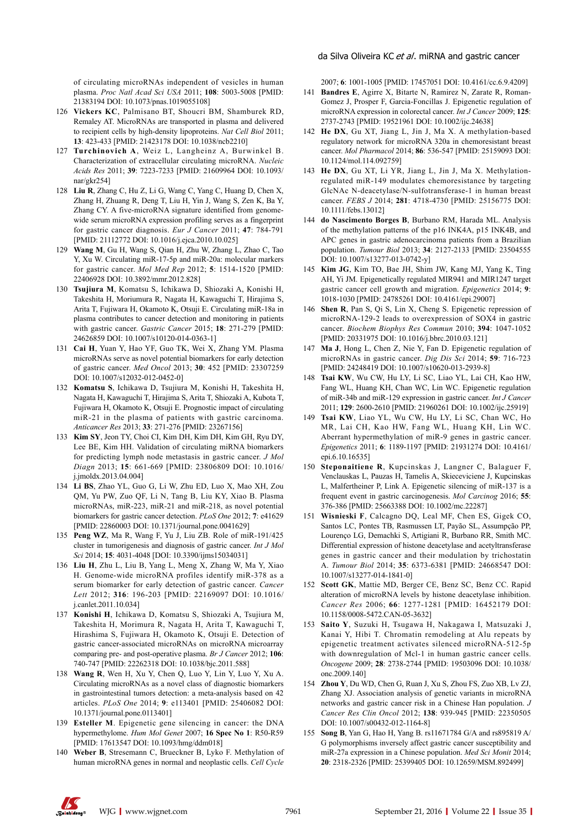of circulating microRNAs independent of vesicles in human plasma. *Proc Natl Acad Sci USA* 2011; **108**: 5003-5008 [PMID: 21383194 DOI: 10.1073/pnas.1019055108]

- 126 **Vickers KC**, Palmisano BT, Shoucri BM, Shamburek RD, Remaley AT. MicroRNAs are transported in plasma and delivered to recipient cells by high-density lipoproteins. *Nat Cell Biol* 2011; **13**: 423-433 [PMID: 21423178 DOI: 10.1038/ncb2210]
- 127 **Turchinovich A**, Weiz L, Langheinz A, Burwinkel B. Characterization of extracellular circulating microRNA. *Nucleic Acids Res* 2011; **39**: 7223-7233 [PMID: 21609964 DOI: 10.1093/ nar/gkr254]
- 128 **Liu R**, Zhang C, Hu Z, Li G, Wang C, Yang C, Huang D, Chen X, Zhang H, Zhuang R, Deng T, Liu H, Yin J, Wang S, Zen K, Ba Y, Zhang CY. A five-microRNA signature identified from genomewide serum microRNA expression profiling serves as a fingerprint for gastric cancer diagnosis. *Eur J Cancer* 2011; **47**: 784-791 [PMID: 21112772 DOI: 10.1016/j.ejca.2010.10.025]
- 129 **Wang M**, Gu H, Wang S, Qian H, Zhu W, Zhang L, Zhao C, Tao Y, Xu W. Circulating miR-17-5p and miR-20a: molecular markers for gastric cancer. *Mol Med Rep* 2012; **5**: 1514-1520 [PMID: 22406928 DOI: 10.3892/mmr.2012.828]
- 130 **Tsujiura M**, Komatsu S, Ichikawa D, Shiozaki A, Konishi H, Takeshita H, Moriumura R, Nagata H, Kawaguchi T, Hirajima S, Arita T, Fujiwara H, Okamoto K, Otsuji E. Circulating miR-18a in plasma contributes to cancer detection and monitoring in patients with gastric cancer. *Gastric Cancer* 2015; **18**: 271-279 [PMID: 24626859 DOI: 10.1007/s10120-014-0363-1]
- 131 **Cai H**, Yuan Y, Hao YF, Guo TK, Wei X, Zhang YM. Plasma microRNAs serve as novel potential biomarkers for early detection of gastric cancer. *Med Oncol* 2013; **30**: 452 [PMID: 23307259 DOI: 10.1007/s12032-012-0452-0]
- 132 **Komatsu S**, Ichikawa D, Tsujiura M, Konishi H, Takeshita H, Nagata H, Kawaguchi T, Hirajima S, Arita T, Shiozaki A, Kubota T, Fujiwara H, Okamoto K, Otsuji E. Prognostic impact of circulating miR-21 in the plasma of patients with gastric carcinoma. *Anticancer Res* 2013; **33**: 271-276 [PMID: 23267156]
- 133 **Kim SY**, Jeon TY, Choi CI, Kim DH, Kim DH, Kim GH, Ryu DY, Lee BE, Kim HH. Validation of circulating miRNA biomarkers for predicting lymph node metastasis in gastric cancer. *J Mol Diagn* 2013; **15**: 661-669 [PMID: 23806809 DOI: 10.1016/ j.jmoldx.2013.04.004]
- 134 **Li BS**, Zhao YL, Guo G, Li W, Zhu ED, Luo X, Mao XH, Zou QM, Yu PW, Zuo QF, Li N, Tang B, Liu KY, Xiao B. Plasma microRNAs, miR-223, miR-21 and miR-218, as novel potential biomarkers for gastric cancer detection. *PLoS One* 2012; **7**: e41629 [PMID: 22860003 DOI: 10.1371/journal.pone.0041629]
- 135 **Peng WZ**, Ma R, Wang F, Yu J, Liu ZB. Role of miR-191/425 cluster in tumorigenesis and diagnosis of gastric cancer. *Int J Mol Sci* 2014; **15**: 4031-4048 [DOI: 10.3390/ijms15034031]
- 136 **Liu H**, Zhu L, Liu B, Yang L, Meng X, Zhang W, Ma Y, Xiao H. Genome-wide microRNA profiles identify miR-378 as a serum biomarker for early detection of gastric cancer. *Cancer Lett* 2012; **316**: 196-203 [PMID: 22169097 DOI: 10.1016/ j.canlet.2011.10.034]
- 137 **Konishi H**, Ichikawa D, Komatsu S, Shiozaki A, Tsujiura M, Takeshita H, Morimura R, Nagata H, Arita T, Kawaguchi T, Hirashima S, Fujiwara H, Okamoto K, Otsuji E. Detection of gastric cancer-associated microRNAs on microRNA microarray comparing pre- and post-operative plasma. *Br J Cancer* 2012; **106**: 740-747 [PMID: 22262318 DOI: 10.1038/bjc.2011.588]
- 138 **Wang R**, Wen H, Xu Y, Chen Q, Luo Y, Lin Y, Luo Y, Xu A. Circulating microRNAs as a novel class of diagnostic biomarkers in gastrointestinal tumors detection: a meta-analysis based on 42 articles. *PLoS One* 2014; **9**: e113401 [PMID: 25406082 DOI: 10.1371/journal.pone.0113401]
- 139 **Esteller M**. Epigenetic gene silencing in cancer: the DNA hypermethylome. *Hum Mol Genet* 2007; **16 Spec No 1**: R50-R59 [PMID: 17613547 DOI: 10.1093/hmg/ddm018]
- 140 **Weber B**, Stresemann C, Brueckner B, Lyko F. Methylation of human microRNA genes in normal and neoplastic cells. *Cell Cycle*

2007; **6**: 1001-1005 [PMID: 17457051 DOI: 10.4161/cc.6.9.4209]

- 141 **Bandres E**, Agirre X, Bitarte N, Ramirez N, Zarate R, Roman-Gomez J, Prosper F, Garcia-Foncillas J. Epigenetic regulation of microRNA expression in colorectal cancer. *Int J Cancer* 2009; **125**: 2737-2743 [PMID: 19521961 DOI: 10.1002/ijc.24638]
- 142 **He DX**, Gu XT, Jiang L, Jin J, Ma X. A methylation-based regulatory network for microRNA 320a in chemoresistant breast cancer. *Mol Pharmacol* 2014; **86**: 536-547 [PMID: 25159093 DOI: 10.1124/mol.114.092759]
- 143 **He DX**, Gu XT, Li YR, Jiang L, Jin J, Ma X. Methylationregulated miR-149 modulates chemoresistance by targeting GlcNAc N-deacetylase/N-sulfotransferase-1 in human breast cancer. *FEBS J* 2014; **281**: 4718-4730 [PMID: 25156775 DOI: 10.1111/febs.13012]
- 144 **do Nascimento Borges B**, Burbano RM, Harada ML. Analysis of the methylation patterns of the p16 INK4A, p15 INK4B, and APC genes in gastric adenocarcinoma patients from a Brazilian population. *Tumour Biol* 2013; **34**: 2127-2133 [PMID: 23504555 DOI: 10.1007/s13277-013-0742-y]
- 145 **Kim JG**, Kim TO, Bae JH, Shim JW, Kang MJ, Yang K, Ting AH, Yi JM. Epigenetically regulated MIR941 and MIR1247 target gastric cancer cell growth and migration. *Epigenetics* 2014; **9**: 1018-1030 [PMID: 24785261 DOI: 10.4161/epi.29007]
- 146 **Shen R**, Pan S, Qi S, Lin X, Cheng S. Epigenetic repression of microRNA-129-2 leads to overexpression of SOX4 in gastric cancer. *Biochem Biophys Res Commun* 2010; **394**: 1047-1052 [PMID: 20331975 DOI: 10.1016/j.bbrc.2010.03.121]
- 147 **Ma J**, Hong L, Chen Z, Nie Y, Fan D. Epigenetic regulation of microRNAs in gastric cancer. *Dig Dis Sci* 2014; **59**: 716-723 [PMID: 24248419 DOI: 10.1007/s10620-013-2939-8]
- 148 **Tsai KW**, Wu CW, Hu LY, Li SC, Liao YL, Lai CH, Kao HW, Fang WL, Huang KH, Chan WC, Lin WC. Epigenetic regulation of miR-34b and miR-129 expression in gastric cancer. *Int J Cancer* 2011; **129**: 2600-2610 [PMID: 21960261 DOI: 10.1002/ijc.25919]
- 149 **Tsai KW**, Liao YL, Wu CW, Hu LY, Li SC, Chan WC, Ho MR, Lai CH, Kao HW, Fang WL, Huang KH, Lin WC. Aberrant hypermethylation of miR-9 genes in gastric cancer. *Epigenetics* 2011; **6**: 1189-1197 [PMID: 21931274 DOI: 10.4161/ epi.6.10.16535]
- 150 **Steponaitiene R**, Kupcinskas J, Langner C, Balaguer F, Venclauskas L, Pauzas H, Tamelis A, Skieceviciene J, Kupcinskas L, Malfertheiner P, Link A. Epigenetic silencing of miR-137 is a frequent event in gastric carcinogenesis. *Mol Carcinog* 2016; **55**: 376-386 [PMID: 25663388 DOI: 10.1002/mc.22287]
- 151 **Wisnieski F**, Calcagno DQ, Leal MF, Chen ES, Gigek CO, Santos LC, Pontes TB, Rasmussen LT, Payão SL, Assumpção PP, Lourenço LG, Demachki S, Artigiani R, Burbano RR, Smith MC. Differential expression of histone deacetylase and acetyltransferase genes in gastric cancer and their modulation by trichostatin A. *Tumour Biol* 2014; **35**: 6373-6381 [PMID: 24668547 DOI: 10.1007/s13277-014-1841-0]
- 152 **Scott GK**, Mattie MD, Berger CE, Benz SC, Benz CC. Rapid alteration of microRNA levels by histone deacetylase inhibition. *Cancer Res* 2006; **66**: 1277-1281 [PMID: 16452179 DOI: 10.1158/0008-5472.CAN-05-3632]
- 153 **Saito Y**, Suzuki H, Tsugawa H, Nakagawa I, Matsuzaki J, Kanai Y, Hibi T. Chromatin remodeling at Alu repeats by epigenetic treatment activates silenced microRNA-512-5p with downregulation of Mcl-1 in human gastric cancer cells. *Oncogene* 2009; **28**: 2738-2744 [PMID: 19503096 DOI: 10.1038/ onc.2009.140]
- 154 **Zhou Y**, Du WD, Chen G, Ruan J, Xu S, Zhou FS, Zuo XB, Lv ZJ, Zhang XJ. Association analysis of genetic variants in microRNA networks and gastric cancer risk in a Chinese Han population. *J Cancer Res Clin Oncol* 2012; **138**: 939-945 [PMID: 22350505 DOI: 10.1007/s00432-012-1164-8]
- 155 **Song B**, Yan G, Hao H, Yang B. rs11671784 G/A and rs895819 A/ G polymorphisms inversely affect gastric cancer susceptibility and miR-27a expression in a Chinese population. *Med Sci Monit* 2014; **20**: 2318-2326 [PMID: 25399405 DOI: 10.12659/MSM.892499]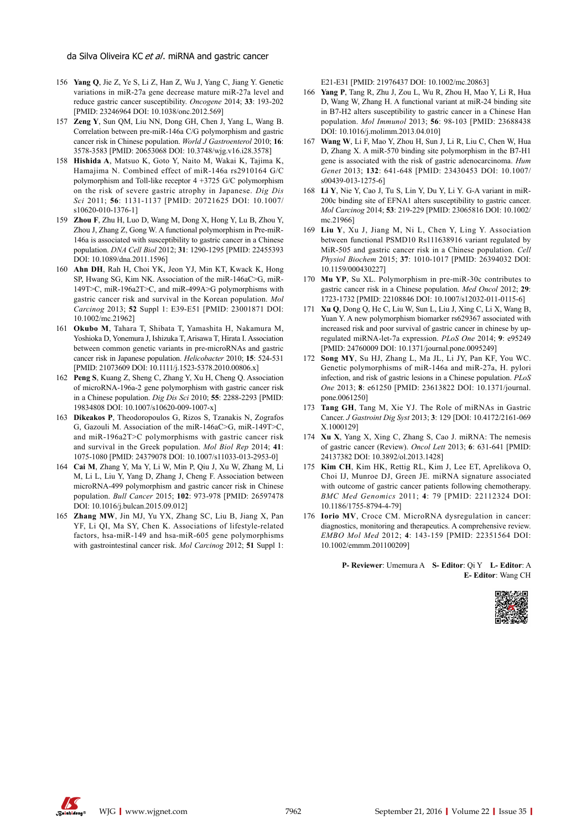- 156 **Yang Q**, Jie Z, Ye S, Li Z, Han Z, Wu J, Yang C, Jiang Y. Genetic variations in miR-27a gene decrease mature miR-27a level and reduce gastric cancer susceptibility. *Oncogene* 2014; **33**: 193-202 [PMID: 23246964 DOI: 10.1038/onc.2012.569]
- 157 **Zeng Y**, Sun QM, Liu NN, Dong GH, Chen J, Yang L, Wang B. Correlation between pre-miR-146a C/G polymorphism and gastric cancer risk in Chinese population. *World J Gastroenterol* 2010; **16**: 3578-3583 [PMID: 20653068 DOI: 10.3748/wjg.v16.i28.3578]
- 158 **Hishida A**, Matsuo K, Goto Y, Naito M, Wakai K, Tajima K, Hamajima N. Combined effect of miR-146a rs2910164 G/C polymorphism and Toll-like receptor 4 +3725 G/C polymorphism on the risk of severe gastric atrophy in Japanese. *Dig Dis Sci* 2011; **56**: 1131-1137 [PMID: 20721625 DOI: 10.1007/ s10620-010-1376-1]
- 159 **Zhou F**, Zhu H, Luo D, Wang M, Dong X, Hong Y, Lu B, Zhou Y, Zhou J, Zhang Z, Gong W. A functional polymorphism in Pre-miR-146a is associated with susceptibility to gastric cancer in a Chinese population. *DNA Cell Biol* 2012; **31**: 1290-1295 [PMID: 22455393 DOI: 10.1089/dna.2011.1596]
- 160 **Ahn DH**, Rah H, Choi YK, Jeon YJ, Min KT, Kwack K, Hong SP, Hwang SG, Kim NK. Association of the miR-146aC>G, miR-149T>C, miR-196a2T>C, and miR-499A>G polymorphisms with gastric cancer risk and survival in the Korean population. *Mol Carcinog* 2013; **52** Suppl 1: E39-E51 [PMID: 23001871 DOI: 10.1002/mc.21962]
- 161 **Okubo M**, Tahara T, Shibata T, Yamashita H, Nakamura M, Yoshioka D, Yonemura J, Ishizuka T, Arisawa T, Hirata I. Association between common genetic variants in pre-microRNAs and gastric cancer risk in Japanese population. *Helicobacter* 2010; **15**: 524-531 [PMID: 21073609 DOI: 10.1111/j.1523-5378.2010.00806.x]
- 162 **Peng S**, Kuang Z, Sheng C, Zhang Y, Xu H, Cheng Q. Association of microRNA-196a-2 gene polymorphism with gastric cancer risk in a Chinese population. *Dig Dis Sci* 2010; **55**: 2288-2293 [PMID: 19834808 DOI: 10.1007/s10620-009-1007-x]
- 163 **Dikeakos P**, Theodoropoulos G, Rizos S, Tzanakis N, Zografos G, Gazouli M. Association of the miR-146aC>G, miR-149T>C, and miR-196a2T>C polymorphisms with gastric cancer risk and survival in the Greek population. *Mol Biol Rep* 2014; **41**: 1075-1080 [PMID: 24379078 DOI: 10.1007/s11033-013-2953-0]
- 164 **Cai M**, Zhang Y, Ma Y, Li W, Min P, Qiu J, Xu W, Zhang M, Li M, Li L, Liu Y, Yang D, Zhang J, Cheng F. Association between microRNA-499 polymorphism and gastric cancer risk in Chinese population. *Bull Cancer* 2015; **102**: 973-978 [PMID: 26597478 DOI: 10.1016/j.bulcan.2015.09.012]
- 165 **Zhang MW**, Jin MJ, Yu YX, Zhang SC, Liu B, Jiang X, Pan YF, Li QI, Ma SY, Chen K. Associations of lifestyle-related factors, hsa-miR-149 and hsa-miR-605 gene polymorphisms with gastrointestinal cancer risk. *Mol Carcinog* 2012; **51** Suppl 1:

E21-E31 [PMID: 21976437 DOI: 10.1002/mc.20863]

- 166 **Yang P**, Tang R, Zhu J, Zou L, Wu R, Zhou H, Mao Y, Li R, Hua D, Wang W, Zhang H. A functional variant at miR-24 binding site in B7-H2 alters susceptibility to gastric cancer in a Chinese Han population. *Mol Immunol* 2013; **56**: 98-103 [PMID: 23688438 DOI: 10.1016/j.molimm.2013.04.010]
- 167 **Wang W**, Li F, Mao Y, Zhou H, Sun J, Li R, Liu C, Chen W, Hua D, Zhang X. A miR-570 binding site polymorphism in the B7-H1 gene is associated with the risk of gastric adenocarcinoma. *Hum Genet* 2013; **132**: 641-648 [PMID: 23430453 DOI: 10.1007/ s00439-013-1275-6]
- 168 **Li Y**, Nie Y, Cao J, Tu S, Lin Y, Du Y, Li Y. G-A variant in miR-200c binding site of EFNA1 alters susceptibility to gastric cancer. *Mol Carcinog* 2014; **53**: 219-229 [PMID: 23065816 DOI: 10.1002/ mc.21966]
- 169 **Liu Y**, Xu J, Jiang M, Ni L, Chen Y, Ling Y. Association between functional PSMD10 Rs111638916 variant regulated by MiR-505 and gastric cancer risk in a Chinese population. *Cell Physiol Biochem* 2015; **37**: 1010-1017 [PMID: 26394032 DOI: 10.1159/000430227]
- 170 **Mu YP**, Su XL. Polymorphism in pre-miR-30c contributes to gastric cancer risk in a Chinese population. *Med Oncol* 2012; **29**: 1723-1732 [PMID: 22108846 DOI: 10.1007/s12032-011-0115-6]
- 171 **Xu Q**, Dong Q, He C, Liu W, Sun L, Liu J, Xing C, Li X, Wang B, Yuan Y. A new polymorphism biomarker rs629367 associated with increased risk and poor survival of gastric cancer in chinese by upregulated miRNA-let-7a expression. *PLoS One* 2014; **9**: e95249 [PMID: 24760009 DOI: 10.1371/journal.pone.0095249]
- 172 **Song MY**, Su HJ, Zhang L, Ma JL, Li JY, Pan KF, You WC. Genetic polymorphisms of miR-146a and miR-27a, H. pylori infection, and risk of gastric lesions in a Chinese population. *PLoS One* 2013; **8**: e61250 [PMID: 23613822 DOI: 10.1371/journal. pone.0061250]
- 173 **Tang GH**, Tang M, Xie YJ. The Role of miRNAs in Gastric Cancer. *J Gastroint Dig Syst* 2013; **3**: 129 [DOI: 10.4172/2161-069 X.1000129]
- 174 **Xu X**, Yang X, Xing C, Zhang S, Cao J. miRNA: The nemesis of gastric cancer (Review). *Oncol Lett* 2013; **6**: 631-641 [PMID: 24137382 DOI: 10.3892/ol.2013.1428]
- 175 **Kim CH**, Kim HK, Rettig RL, Kim J, Lee ET, Aprelikova O, Choi IJ, Munroe DJ, Green JE. miRNA signature associated with outcome of gastric cancer patients following chemotherapy. *BMC Med Genomics* 2011; **4**: 79 [PMID: 22112324 DOI: 10.1186/1755-8794-4-79]
- 176 **Iorio MV**, Croce CM. MicroRNA dysregulation in cancer: diagnostics, monitoring and therapeutics. A comprehensive review. *EMBO Mol Med* 2012; **4**: 143-159 [PMID: 22351564 DOI: 10.1002/emmm.201100209]

**P- Reviewer**: Umemura A **S- Editor**: Qi Y **L- Editor**: A **E- Editor**: Wang CH